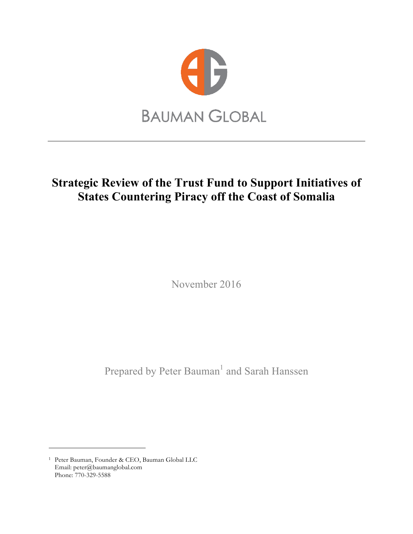

# **Strategic Review of the Trust Fund to Support Initiatives of States Countering Piracy off the Coast of Somalia**

November 2016

Prepared by Peter Bauman<sup>1</sup> and Sarah Hanssen

<sup>1</sup> Peter Bauman, Founder & CEO, Bauman Global LLC Email: peter@baumanglobal.com Phone: 770-329-5588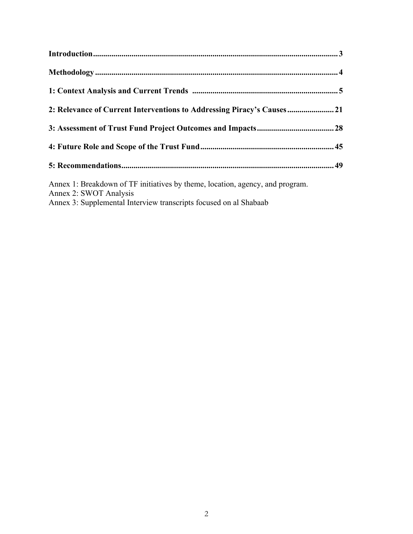| 2: Relevance of Current Interventions to Addressing Piracy's Causes |  |                                                                                                                                                                              |  |
|---------------------------------------------------------------------|--|------------------------------------------------------------------------------------------------------------------------------------------------------------------------------|--|
|                                                                     |  |                                                                                                                                                                              |  |
|                                                                     |  |                                                                                                                                                                              |  |
|                                                                     |  | Annex 1: Breakdown of TF initiatives by theme, location, agency, and program.<br>Annex 2: SWOT Analysis<br>Annex 3: Supplemental Interview transcripts focused on al Shabaab |  |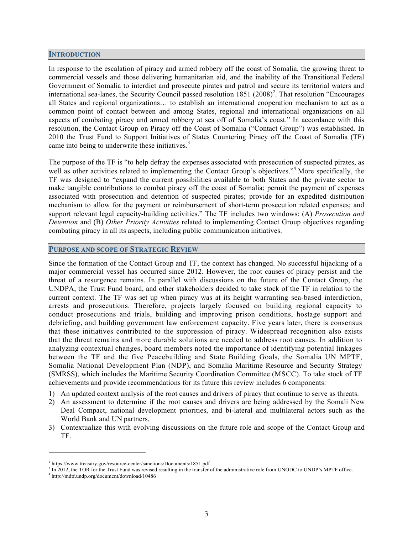#### **INTRODUCTION**

In response to the escalation of piracy and armed robbery off the coast of Somalia, the growing threat to commercial vessels and those delivering humanitarian aid, and the inability of the Transitional Federal Government of Somalia to interdict and prosecute pirates and patrol and secure its territorial waters and international sea-lanes, the Security Council passed resolution 1851 (2008)<sup>2</sup>. That resolution "Encourages" all States and regional organizations… to establish an international cooperation mechanism to act as a common point of contact between and among States, regional and international organizations on all aspects of combating piracy and armed robbery at sea off of Somalia's coast." In accordance with this resolution, the Contact Group on Piracy off the Coast of Somalia ("Contact Group") was established. In 2010 the Trust Fund to Support Initiatives of States Countering Piracy off the Coast of Somalia (TF) came into being to underwrite these initiatives.<sup>3</sup>

The purpose of the TF is "to help defray the expenses associated with prosecution of suspected pirates, as well as other activities related to implementing the Contact Group's objectives."<sup>4</sup> More specifically, the TF was designed to "expand the current possibilities available to both States and the private sector to make tangible contributions to combat piracy off the coast of Somalia; permit the payment of expenses associated with prosecution and detention of suspected pirates; provide for an expedited distribution mechanism to allow for the payment or reimbursement of short-term prosecution related expenses; and support relevant legal capacity-building activities." The TF includes two windows: (A) *Prosecution and Detention* and (B) *Other Priority Activities* related to implementing Contact Group objectives regarding combating piracy in all its aspects, including public communication initiatives.

#### **PURPOSE AND SCOPE OF STRATEGIC REVIEW**

Since the formation of the Contact Group and TF, the context has changed. No successful hijacking of a major commercial vessel has occurred since 2012. However, the root causes of piracy persist and the threat of a resurgence remains. In parallel with discussions on the future of the Contact Group, the UNDPA, the Trust Fund board, and other stakeholders decided to take stock of the TF in relation to the current context. The TF was set up when piracy was at its height warranting sea-based interdiction, arrests and prosecutions. Therefore, projects largely focused on building regional capacity to conduct prosecutions and trials, building and improving prison conditions, hostage support and debriefing, and building government law enforcement capacity. Five years later, there is consensus that these initiatives contributed to the suppression of piracy. Widespread recognition also exists that the threat remains and more durable solutions are needed to address root causes. In addition to analyzing contextual changes, board members noted the importance of identifying potential linkages between the TF and the five Peacebuilding and State Building Goals, the Somalia UN MPTF, Somalia National Development Plan (NDP), and Somalia Maritime Resource and Security Strategy (SMRSS), which includes the Maritime Security Coordination Committee (MSCC). To take stock of TF achievements and provide recommendations for its future this review includes 6 components:

- 1) An updated context analysis of the root causes and drivers of piracy that continue to serve as threats.
- 2) An assessment to determine if the root causes and drivers are being addressed by the Somali New Deal Compact, national development priorities, and bi-lateral and multilateral actors such as the World Bank and UN partners.
- 3) Contextualize this with evolving discussions on the future role and scope of the Contact Group and TF.

<sup>2</sup> https://www.treasury.gov/resource-center/sanctions/Documents/1851.pdf

 $3$  In 2012, the TOR for the Trust Fund was revised resulting in the transfer of the administrative role from UNODC to UNDP's MPTF office.  $4$  http://mdtf.undp.org/document/download/10486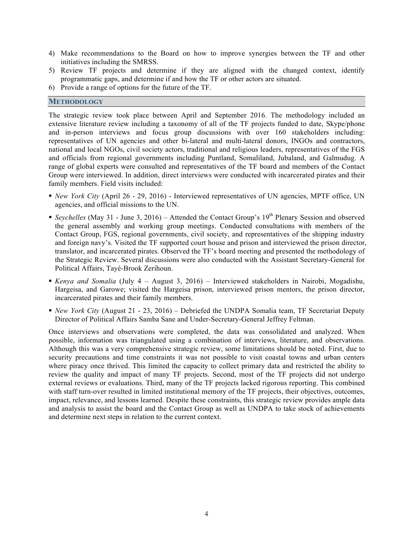- 4) Make recommendations to the Board on how to improve synergies between the TF and other initiatives including the SMRSS.
- 5) Review TF projects and determine if they are aligned with the changed context, identify programmatic gaps, and determine if and how the TF or other actors are situated.
- 6) Provide a range of options for the future of the TF.

#### **METHODOLOGY**

The strategic review took place between April and September 2016. The methodology included an extensive literature review including a taxonomy of all of the TF projects funded to date, Skype/phone and in-person interviews and focus group discussions with over 160 stakeholders including: representatives of UN agencies and other bi-lateral and multi-lateral donors, INGOs and contractors, national and local NGOs, civil society actors, traditional and religious leaders, representatives of the FGS and officials from regional governments including Puntland, Somaliland, Jubaland, and Galmudug. A range of global experts were consulted and representatives of the TF board and members of the Contact Group were interviewed. In addition, direct interviews were conducted with incarcerated pirates and their family members. Field visits included:

- § *New York City* (April 26 29, 2016) Interviewed representatives of UN agencies, MPTF office, UN agencies, and official missions to the UN.
- Seychelles (May 31 June 3, 2016) Attended the Contact Group's  $19<sup>th</sup>$  Plenary Session and observed the general assembly and working group meetings. Conducted consultations with members of the Contact Group, FGS, regional governments, civil society, and representatives of the shipping industry and foreign navy's. Visited the TF supported court house and prison and interviewed the prison director, translator, and incarcerated pirates. Observed the TF's board meeting and presented the methodology of the Strategic Review. Several discussions were also conducted with the Assistant Secretary-General for Political Affairs, Tayé-Brook Zerihoun.
- § *Kenya and Somalia* (July 4 August 3, 2016) Interviewed stakeholders in Nairobi, Mogadishu, Hargeisa, and Garowe; visited the Hargeisa prison, interviewed prison mentors, the prison director, incarcerated pirates and their family members.
- § *New York City* (August 21 23, 2016) Debriefed the UNDPA Somalia team, TF Secretariat Deputy Director of Political Affairs Samba Sane and Under-Secretary-General Jeffrey Feltman.

Once interviews and observations were completed, the data was consolidated and analyzed. When possible, information was triangulated using a combination of interviews, literature, and observations. Although this was a very comprehensive strategic review, some limitations should be noted. First, due to security precautions and time constraints it was not possible to visit coastal towns and urban centers where piracy once thrived. This limited the capacity to collect primary data and restricted the ability to review the quality and impact of many TF projects. Second, most of the TF projects did not undergo external reviews or evaluations. Third, many of the TF projects lacked rigorous reporting. This combined with staff turn-over resulted in limited institutional memory of the TF projects, their objectives, outcomes, impact, relevance, and lessons learned. Despite these constraints, this strategic review provides ample data and analysis to assist the board and the Contact Group as well as UNDPA to take stock of achievements and determine next steps in relation to the current context.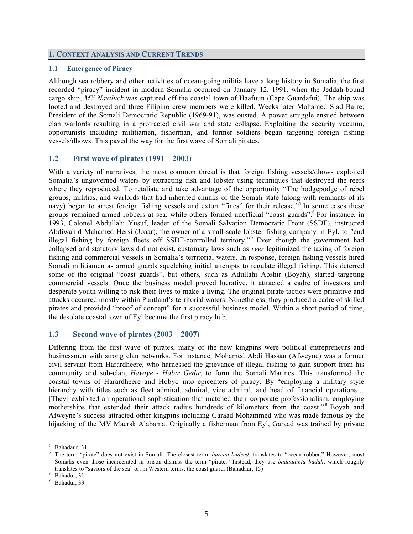#### **1. CONTEXT ANALYSIS AND CURRENT TRENDS**

#### **1.1 Emergence of Piracy**

Although sea robbery and other activities of ocean-going militia have a long history in Somalia, the first recorded "piracy" incident in modern Somalia occurred on January 12, 1991, when the Jeddah-bound cargo ship, *MV Naviluck* was captured off the coastal town of Haafuun (Cape Guardafui). The ship was looted and destroyed and three Filipino crew members were killed. Weeks later Mohamed Siad Barre, President of the Somali Democratic Republic (1969-91), was ousted. A power struggle ensued between clan warlords resulting in a protracted civil war and state collapse. Exploiting the security vacuum, opportunists including militiamen, fisherman, and former soldiers began targeting foreign fishing vessels/dhows. This paved the way for the first wave of Somali pirates.

### **1.2 First wave of pirates (1991 – 2003)**

With a variety of narratives, the most common thread is that foreign fishing vessels/dhows exploited Somalia's ungoverned waters by extracting fish and lobster using techniques that destroyed the reefs where they reproduced. To retaliate and take advantage of the opportunity "The hodgepodge of rebel groups, militias, and warlords that had inherited chunks of the Somali state (along with remnants of its navy) began to arrest foreign fishing vessels and extort "fines" for their release.<sup>35</sup> In some cases these groups remained armed robbers at sea, while others formed unofficial "coast guards". For instance, in 1993, Colonel Abdullahi Yusuf, leader of the Somali Salvation Democratic Front (SSDF), instructed Abdiwahid Mahamed Hersi (Joaar), the owner of a small-scale lobster fishing company in Eyl, to "end illegal fishing by foreign fleets off SSDF-controlled territory." <sup>7</sup> Even though the government had collapsed and statutory laws did not exist, customary laws such as *xeer* legitimized the taxing of foreign fishing and commercial vessels in Somalia's territorial waters. In response, foreign fishing vessels hired Somali militiamen as armed guards squelching initial attempts to regulate illegal fishing. This deterred some of the original "coast guards", but others, such as Adullahi Abshir (Boyah), started targeting commercial vessels. Once the business model proved lucrative, it attracted a cadre of investors and desperate youth willing to risk their lives to make a living. The original pirate tactics were primitive and attacks occurred mostly within Puntland's territorial waters. Nonetheless, they produced a cadre of skilled pirates and provided "proof of concept" for a successful business model. Within a short period of time, the desolate coastal town of Eyl became the first piracy hub.

### **1.3 Second wave of pirates (2003 – 2007)**

Differing from the first wave of pirates, many of the new kingpins were political entrepreneurs and businessmen with strong clan networks. For instance, Mohamed Abdi Hassan (Afweyne) was a former civil servant from Harardheere, who harnessed the grievance of illegal fishing to gain support from his community and sub-clan, *Hawiye - Habir Gedir*, to form the Somali Marines. This transformed the coastal towns of Harardheere and Hobyo into epicenters of piracy. By "employing a military style hierarchy with titles such as fleet admiral, admiral, vice admiral, and head of financial operations... [They] exhibited an operational sophistication that matched their corporate professionalism, employing motherships that extended their attack radius hundreds of kilometers from the coast."<sup>8</sup> Boyah and Afweyne's success attracted other kingpins including Garaad Mohammed who was made famous by the hijacking of the MV Maersk Alabama. Originally a fisherman from Eyl, Garaad was trained by private

<sup>&</sup>lt;sup>5</sup> Bahadaur, 31<br><sup>6</sup> The term "pirate" does not exist in Somali. The closest term, *burcad badeed*, translates to "ocean robber." However, most Somalis even those incarcerated in prison dismiss the term "pirate." Instead, they use *badaadinta badah*, which roughly translates to "saviors of the sea" or, in Western terms, the coast guard. (Bahadaur, 15)  $\frac{7}{8}$  Bahadur, 33 Bahadur, 33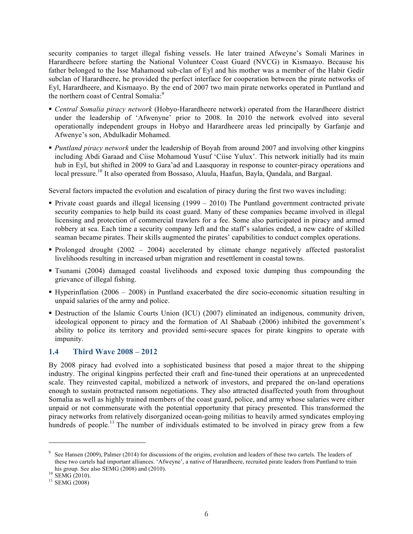security companies to target illegal fishing vessels. He later trained Afweyne's Somali Marines in Harardheere before starting the National Volunteer Coast Guard (NVCG) in Kismaayo. Because his father belonged to the Isse Mahamoud sub-clan of Eyl and his mother was a member of the Habir Gedir subclan of Harardheere, he provided the perfect interface for cooperation between the pirate networks of Eyl, Harardheere, and Kismaayo. By the end of 2007 two main pirate networks operated in Puntland and the northern coast of Central Somalia:<sup>9</sup>

- § *Central Somalia piracy network* (Hobyo-Harardheere network) operated from the Harardheere district under the leadership of 'Afwenyne' prior to 2008. In 2010 the network evolved into several operationally independent groups in Hobyo and Harardheere areas led principally by Garfanje and Afwenye's son, Abdulkadir Mohamed.
- § *Puntland piracy network* under the leadership of Boyah from around 2007 and involving other kingpins including Abdi Garaad and Ciise Mohamoud Yusuf 'Ciise Yulux'. This network initially had its main hub in Eyl, but shifted in 2009 to Gara'ad and Laasquoray in response to counter-piracy operations and local pressure.<sup>10</sup> It also operated from Bossaso, Aluula, Haafun, Bayla, Qandala, and Bargaal.

Several factors impacted the evolution and escalation of piracy during the first two waves including:

- § Private coast guards and illegal licensing (1999 2010) The Puntland government contracted private security companies to help build its coast guard. Many of these companies became involved in illegal licensing and protection of commercial trawlers for a fee. Some also participated in piracy and armed robbery at sea. Each time a security company left and the staff's salaries ended, a new cadre of skilled seaman became pirates. Their skills augmented the pirates' capabilities to conduct complex operations.
- Prolonged drought (2002 2004) accelerated by climate change negatively affected pastoralist livelihoods resulting in increased urban migration and resettlement in coastal towns.
- § Tsunami (2004) damaged coastal livelihoods and exposed toxic dumping thus compounding the grievance of illegal fishing.
- § Hyperinflation (2006 2008) in Puntland exacerbated the dire socio-economic situation resulting in unpaid salaries of the army and police.
- § Destruction of the Islamic Courts Union (ICU) (2007) eliminated an indigenous, community driven, ideological opponent to piracy and the formation of Al Shabaab (2006) inhibited the government's ability to police its territory and provided semi-secure spaces for pirate kingpins to operate with impunity.

### **1.4 Third Wave 2008 – 2012**

By 2008 piracy had evolved into a sophisticated business that posed a major threat to the shipping industry. The original kingpins perfected their craft and fine-tuned their operations at an unprecedented scale. They reinvested capital, mobilized a network of investors, and prepared the on-land operations enough to sustain protracted ransom negotiations. They also attracted disaffected youth from throughout Somalia as well as highly trained members of the coast guard, police, and army whose salaries were either unpaid or not commensurate with the potential opportunity that piracy presented. This transformed the piracy networks from relatively disorganized ocean-going militias to heavily armed syndicates employing hundreds of people.<sup>11</sup> The number of individuals estimated to be involved in piracy grew from a few

<sup>&</sup>lt;sup>9</sup> See Hansen (2009), Palmer (2014) for discussions of the origins, evolution and leaders of these two cartels. The leaders of these two cartels had important alliances. 'Afweyne', a native of Harardheere, recruited pirate leaders from Puntland to train his group. See also SEMG (2008) and (2010).<br><sup>10</sup> SEMG (2010).<br><sup>11</sup> SEMG (2008)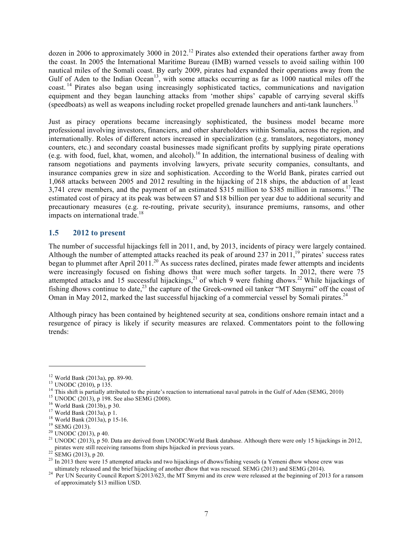dozen in 2006 to approximately 3000 in 2012.<sup>12</sup> Pirates also extended their operations farther away from the coast. In 2005 the International Maritime Bureau (IMB) warned vessels to avoid sailing within 100 nautical miles of the Somali coast. By early 2009, pirates had expanded their operations away from the Gulf of Aden to the Indian Ocean<sup>13</sup>, with some attacks occurring as far as  $1000$  nautical miles off the coast. <sup>14</sup> Pirates also began using increasingly sophisticated tactics, communications and navigation equipment and they began launching attacks from 'mother ships' capable of carrying several skiffs (speedboats) as well as weapons including rocket propelled grenade launchers and anti-tank launchers. 15

Just as piracy operations became increasingly sophisticated, the business model became more professional involving investors, financiers, and other shareholders within Somalia, across the region, and internationally. Roles of different actors increased in specialization (e.g. translators, negotiators, money counters, etc.) and secondary coastal businesses made significant profits by supplying pirate operations (e.g. with food, fuel, khat, women, and alcohol).<sup>16</sup> In addition, the international business of dealing with ransom negotiations and payments involving lawyers, private security companies, consultants, and insurance companies grew in size and sophistication. According to the World Bank, pirates carried out 1,068 attacks between 2005 and 2012 resulting in the hijacking of 218 ships, the abduction of at least 3,741 crew members, and the payment of an estimated \$315 million to \$385 million in ransoms.<sup>17</sup> The estimated cost of piracy at its peak was between \$7 and \$18 billion per year due to additional security and precautionary measures (e.g. re-routing, private security), insurance premiums, ransoms, and other impacts on international trade.<sup>18</sup>

### **1.5 2012 to present**

The number of successful hijackings fell in 2011, and, by 2013, incidents of piracy were largely contained. Although the number of attempted attacks reached its peak of around 237 in  $2011$ ,<sup>19</sup> pirates' success rates began to plummet after April 2011.<sup>20</sup> As success rates declined, pirates made fewer attempts and incidents were increasingly focused on fishing dhows that were much softer targets. In 2012, there were 75 attempted attacks and 15 successful hijackings,<sup>21</sup> of which 9 were fishing dhows.<sup>22</sup> While hijackings of fishing dhows continue to date,<sup>23</sup> the capture of the Greek-owned oil tanker "MT Smyrni" off the coast of Oman in May 2012, marked the last successful hijacking of a commercial vessel by Somali pirates.<sup>24</sup>

Although piracy has been contained by heightened security at sea, conditions onshore remain intact and a resurgence of piracy is likely if security measures are relaxed. Commentators point to the following trends:

<sup>&</sup>lt;sup>12</sup> World Bank (2013a), pp. 89-90.<br><sup>13</sup> UNODC (2010), p 135.<br><sup>13</sup> UNODC (2010), p 135.<br><sup>15</sup> UNODC (2013), p 198. See also SEMG (2008).<br><sup>15</sup> UNODC (2013), p 198. See also SEMG (2008).<br><sup>16</sup> World Bank (2013a), p 19.<br><sup>17</sup> W

<sup>&</sup>lt;sup>23</sup> In 2013 there were 15 attempted attacks and two hijackings of dhows/fishing vessels (a Yemeni dhow whose crew was ultimately released and the brief hijacking of another dhow that was rescued. SEMG (2013) and SEMG (20

<sup>&</sup>lt;sup>24</sup> Per UN Security Council Report S/2013/623, the MT Smyrni and its crew were released at the beginning of 2013 for a ransom of approximately \$13 million USD.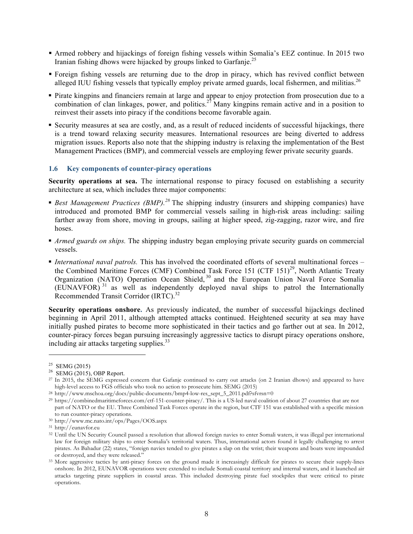- § Armed robbery and hijackings of foreign fishing vessels within Somalia's EEZ continue. In 2015 two Iranian fishing dhows were hijacked by groups linked to Garfanje.<sup>25</sup>
- Foreign fishing vessels are returning due to the drop in piracy, which has revived conflict between alleged IUU fishing vessels that typically employ private armed guards, local fishermen, and militias.<sup>26</sup>
- § Pirate kingpins and financiers remain at large and appear to enjoy protection from prosecution due to a combination of clan linkages, power, and politics.<sup>27</sup> Many kingpins remain active and in a position to reinvest their assets into piracy if the conditions become favorable again.
- § Security measures at sea are costly, and, as a result of reduced incidents of successful hijackings, there is a trend toward relaxing security measures. International resources are being diverted to address migration issues. Reports also note that the shipping industry is relaxing the implementation of the Best Management Practices (BMP), and commercial vessels are employing fewer private security guards.

#### **1.6 Key components of counter-piracy operations**

**Security operations at sea.** The international response to piracy focused on establishing a security architecture at sea, which includes three major components:

- *Best Management Practices (BMP).*<sup>28</sup> The shipping industry (insurers and shipping companies) have introduced and promoted BMP for commercial vessels sailing in high-risk areas including: sailing farther away from shore, moving in groups, sailing at higher speed, zig-zagging, razor wire, and fire hoses.
- *Armed guards on ships*. The shipping industry began employing private security guards on commercial vessels.
- § *International naval patrols.* This has involved the coordinated efforts of several multinational forces the Combined Maritime Forces (CMF) Combined Task Force 151 (CTF 151)<sup>29</sup>, North Atlantic Treaty Organization (NATO) Operation Ocean Shield,<sup>30</sup> and the European Union Naval Force Somalia (EUNAVFOR) <sup>31</sup> as well as independently deployed naval ships to patrol the Internationally Recommended Transit Corridor (IRTC).<sup>32</sup>

**Security operations onshore.** As previously indicated, the number of successful hijackings declined beginning in April 2011, although attempted attacks continued. Heightened security at sea may have initially pushed pirates to become more sophisticated in their tactics and go farther out at sea. In 2012, counter-piracy forces began pursuing increasingly aggressive tactics to disrupt piracy operations onshore, including air attacks targeting supplies.<sup>33</sup>

<sup>&</sup>lt;sup>25</sup> SEMG (2015)<br><sup>26</sup> SEMG (2015), OBP Report.

<sup>27</sup> In 2015, the SEMG expressed concern that Gafanje continued to carry out attacks (on 2 Iranian dhows) and appeared to have high-level access to FGS officials who took no action to prosecute him. SEMG (2015)

<sup>&</sup>lt;sup>28</sup> http://www.mschoa.org/docs/public-documents/bmp4-low-res\_sept\_5\_2011.pdf?sfvrsn=0

<sup>&</sup>lt;sup>29</sup> https://combinedmaritimeforces.com/ctf-151-counter-piracy/. This is a US-led naval coalition of about 27 countries that are not part of NATO or the EU. Three Combined Task Forces operate in the region, but CTF 151 was established with a specific mission

to run counter-piracy operations. 30 http://www.mc.nato.int/ops/Pages/OOS.aspx

<sup>31</sup> http://eunavfor.eu

<sup>&</sup>lt;sup>32</sup> Until the UN Security Council passed a resolution that allowed foreign navies to enter Somali waters, it was illegal per international law for foreign military ships to enter Somalia's territorial waters. Thus, international actors found it legally challenging to arrest pirates. As Bahadur (22) states, "foreign navies tended to give pirates a slap on the wrist; their weapons and boats were impounded or destroyed, and they were released." 33 More aggressive tactics by anti-piracy forces on the ground made it increasingly difficult for pirates to secure their supply-lines

onshore. In 2012, EUNAVOR operations were extended to include Somali coastal territory and internal waters, and it launched air attacks targeting pirate suppliers in coastal areas. This included destroying pirate fuel stockpiles that were critical to pirate operations.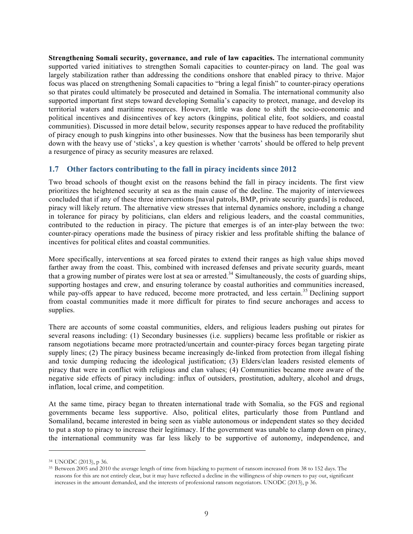**Strengthening Somali security, governance, and rule of law capacities.** The international community supported varied initiatives to strengthen Somali capacities to counter-piracy on land. The goal was largely stabilization rather than addressing the conditions onshore that enabled piracy to thrive. Major focus was placed on strengthening Somali capacities to "bring a legal finish" to counter-piracy operations so that pirates could ultimately be prosecuted and detained in Somalia. The international community also supported important first steps toward developing Somalia's capacity to protect, manage, and develop its territorial waters and maritime resources. However, little was done to shift the socio-economic and political incentives and disincentives of key actors (kingpins, political elite, foot soldiers, and coastal communities). Discussed in more detail below, security responses appear to have reduced the profitability of piracy enough to push kingpins into other businesses. Now that the business has been temporarily shut down with the heavy use of 'sticks', a key question is whether 'carrots' should be offered to help prevent a resurgence of piracy as security measures are relaxed.

# **1.7 Other factors contributing to the fall in piracy incidents since 2012**

Two broad schools of thought exist on the reasons behind the fall in piracy incidents. The first view prioritizes the heightened security at sea as the main cause of the decline. The majority of interviewees concluded that if any of these three interventions [naval patrols, BMP, private security guards] is reduced, piracy will likely return. The alternative view stresses that internal dynamics onshore, including a change in tolerance for piracy by politicians, clan elders and religious leaders, and the coastal communities, contributed to the reduction in piracy. The picture that emerges is of an inter-play between the two: counter-piracy operations made the business of piracy riskier and less profitable shifting the balance of incentives for political elites and coastal communities.

More specifically, interventions at sea forced pirates to extend their ranges as high value ships moved farther away from the coast. This, combined with increased defenses and private security guards, meant that a growing number of pirates were lost at sea or arrested.<sup>34</sup> Simultaneously, the costs of guarding ships, supporting hostages and crew, and ensuring tolerance by coastal authorities and communities increased, while pay-offs appear to have reduced, become more protracted, and less certain.<sup>35</sup> Declining support from coastal communities made it more difficult for pirates to find secure anchorages and access to supplies.

There are accounts of some coastal communities, elders, and religious leaders pushing out pirates for several reasons including: (1) Secondary businesses (i.e. suppliers) became less profitable or riskier as ransom negotiations became more protracted/uncertain and counter-piracy forces began targeting pirate supply lines; (2) The piracy business became increasingly de-linked from protection from illegal fishing and toxic dumping reducing the ideological justification; (3) Elders/clan leaders resisted elements of piracy that were in conflict with religious and clan values; (4) Communities became more aware of the negative side effects of piracy including: influx of outsiders, prostitution, adultery, alcohol and drugs, inflation, local crime, and competition.

At the same time, piracy began to threaten international trade with Somalia, so the FGS and regional governments became less supportive. Also, political elites, particularly those from Puntland and Somaliland, became interested in being seen as viable autonomous or independent states so they decided to put a stop to piracy to increase their legitimacy. If the government was unable to clamp down on piracy, the international community was far less likely to be supportive of autonomy, independence, and

<sup>34</sup> UNODC (2013), p 36.

<sup>35</sup> Between 2005 and 2010 the average length of time from hijacking to payment of ransom increased from 38 to 152 days. The reasons for this are not entirely clear, but it may have reflected a decline in the willingness of ship owners to pay out, significant increases in the amount demanded, and the interests of professional ransom negotiators. UNODC (2013), p 36.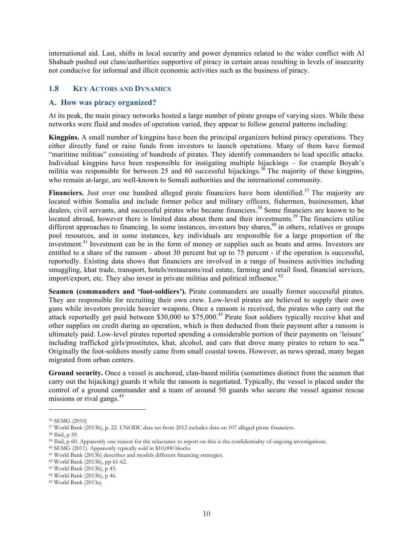international aid. Last, shifts in local security and power dynamics related to the wider conflict with Al Shabaab pushed out clans/authorities supportive of piracy in certain areas resulting in levels of insecurity not conducive for informal and illicit economic activities such as the business of piracy.

# **1.8 KEY ACTORS AND DYNAMICS**

### **A. How was piracy organized?**

At its peak, the main piracy networks hosted a large number of pirate groups of varying sizes. While these networks were fluid and modes of operation varied, they appear to follow general patterns including:

**Kingpins.** A small number of kingpins have been the principal organizers behind piracy operations. They either directly fund or raise funds from investors to launch operations. Many of them have formed "maritime militias" consisting of hundreds of pirates. They identify commanders to lead specific attacks. Individual kingpins have been responsible for instigating multiple hijackings – for example Boyah's militia was responsible for between 25 and 60 successful hijackings.<sup>36</sup> The majority of these kingpins, who remain at-large, are well-known to Somali authorities and the international community.

Financiers. Just over one hundred alleged pirate financiers have been identified.<sup>37</sup> The majority are located within Somalia and include former police and military officers, fishermen, businessmen, khat dealers, civil servants, and successful pirates who became financiers.<sup>38</sup> Some financiers are known to be located abroad, however there is limited data about them and their investments.<sup>39</sup> The financiers utilize different approaches to financing. In some instances, investors buy shares,<sup>40</sup> in others, relatives or groups pool resources, and in some instances, key individuals are responsible for a large proportion of the investment.<sup>41</sup> Investment can be in the form of money or supplies such as boats and arms. Investors are entitled to a share of the ransom - about 30 percent but up to 75 percent - if the operation is successful, reportedly. Existing data shows that financiers are involved in a range of business activities including smuggling, khat trade, transport, hotels/restaurants/real estate, farming and retail food, financial services, import/export, etc. They also invest in private militias and political influence. 42

**Seamen (commanders and 'foot-soldiers').** Pirate commanders are usually former successful pirates. They are responsible for recruiting their own crew. Low-level pirates are believed to supply their own guns while investors provide heavier weapons. Once a ransom is received, the pirates who carry out the attack reportedly get paid between \$30,000 to \$75,000.<sup>43</sup> Pirate foot soldiers typically receive khat and other supplies on credit during an operation, which is then deducted from their payment after a ransom is ultimately paid. Low-level pirates reported spending a considerable portion of their payments on 'leisure' including trafficked girls/prostitutes, khat, alcohol, and cars that drove many pirates to return to sea.<sup>44</sup> Originally the foot-soldiers mostly came from small coastal towns. However, as news spread, many began migrated from urban centers.

**Ground security.** Once a vessel is anchored, clan-based militia (sometimes distinct from the seamen that carry out the hijacking) guards it while the ransom is negotiated. Typically, the vessel is placed under the control of a ground commander and a team of around 50 guards who secure the vessel against rescue missions or rival gangs. 45

<sup>36</sup> SEMG (2010)

<sup>37</sup> World Bank (2013b), p. 22. UNODC data set from 2012 includes data on 107 alleged pirate financiers.

<sup>38</sup> Ibid, p 59.

<sup>39</sup> Ibid, p 60. Apparently one reason for the reluctance to report on this is the confidentiality of ongoing investigations.

<sup>40</sup> SEMG (2011). Apparently typically sold in \$10,000 blocks

<sup>41</sup> World Bank (2013b) describes and models different financing strategies.

<sup>42</sup> World Bank (2013b), pp 61-62.

<sup>43</sup> World Bank (2013b), p 45.

<sup>44</sup> World Bank (2013b), p 46.

<sup>45</sup> World Bank (2013a).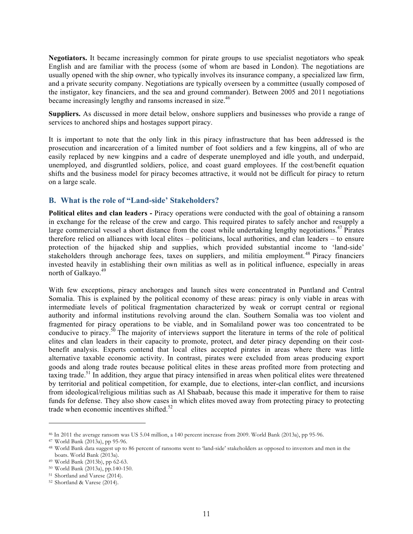**Negotiators.** It became increasingly common for pirate groups to use specialist negotiators who speak English and are familiar with the process (some of whom are based in London). The negotiations are usually opened with the ship owner, who typically involves its insurance company, a specialized law firm, and a private security company. Negotiations are typically overseen by a committee (usually composed of the instigator, key financiers, and the sea and ground commander). Between 2005 and 2011 negotiations became increasingly lengthy and ransoms increased in size.<sup>46</sup>

**Suppliers.** As discussed in more detail below, onshore suppliers and businesses who provide a range of services to anchored ships and hostages support piracy.

It is important to note that the only link in this piracy infrastructure that has been addressed is the prosecution and incarceration of a limited number of foot soldiers and a few kingpins, all of who are easily replaced by new kingpins and a cadre of desperate unemployed and idle youth, and underpaid, unemployed, and disgruntled soldiers, police, and coast guard employees. If the cost/benefit equation shifts and the business model for piracy becomes attractive, it would not be difficult for piracy to return on a large scale.

# **B. What is the role of "Land-side' Stakeholders?**

**Political elites and clan leaders -** Piracy operations were conducted with the goal of obtaining a ransom in exchange for the release of the crew and cargo. This required pirates to safely anchor and resupply a large commercial vessel a short distance from the coast while undertaking lengthy negotiations.<sup>47</sup> Pirates therefore relied on alliances with local elites – politicians, local authorities, and clan leaders – to ensure protection of the hijacked ship and supplies, which provided substantial income to 'land-side' stakeholders through anchorage fees, taxes on suppliers, and militia employment.<sup>48</sup> Piracy financiers invested heavily in establishing their own militias as well as in political influence, especially in areas north of Galkayo.<sup>49</sup>

With few exceptions, piracy anchorages and launch sites were concentrated in Puntland and Central Somalia. This is explained by the political economy of these areas: piracy is only viable in areas with intermediate levels of political fragmentation characterized by weak or corrupt central or regional authority and informal institutions revolving around the clan. Southern Somalia was too violent and fragmented for piracy operations to be viable, and in Somaliland power was too concentrated to be conducive to piracy.<sup>50</sup> The majority of interviews support the literature in terms of the role of political elites and clan leaders in their capacity to promote, protect, and deter piracy depending on their costbenefit analysis. Experts contend that local elites accepted pirates in areas where there was little alternative taxable economic activity. In contrast, pirates were excluded from areas producing export goods and along trade routes because political elites in these areas profited more from protecting and taxing trade.<sup>51</sup> In addition, they argue that piracy intensified in areas when political elites were threatened by territorial and political competition, for example, due to elections, inter-clan conflict, and incursions from ideological/religious militias such as Al Shabaab, because this made it imperative for them to raise funds for defense. They also show cases in which elites moved away from protecting piracy to protecting trade when economic incentives shifted.<sup>52</sup>

<sup>46</sup> In 2011 the average ransom was US 5.04 million, a 140 percent increase from 2009. World Bank (2013a), pp 95-96.

<sup>47</sup> World Bank (2013a), pp 95-96.

<sup>48</sup> World Bank data suggest up to 86 percent of ransoms went to 'land-side' stakeholders as opposed to investors and men in the boats. World Bank (2013a).

<sup>49</sup> World Bank (2013b), pp 62-63.

<sup>50</sup> World Bank (2013a), pp.140-150.

<sup>51</sup> Shortland and Varese (2014).

<sup>52</sup> Shortland & Varese (2014).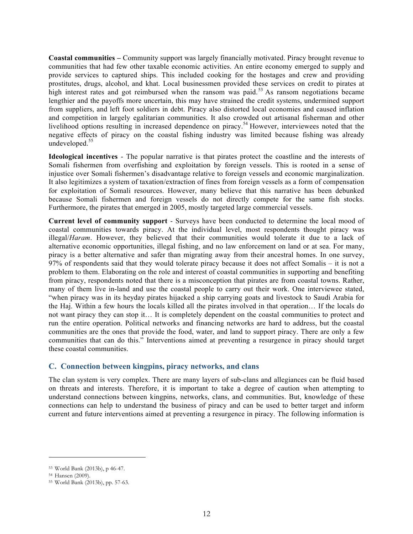**Coastal communities –** Community support was largely financially motivated. Piracy brought revenue to communities that had few other taxable economic activities. An entire economy emerged to supply and provide services to captured ships. This included cooking for the hostages and crew and providing prostitutes, drugs, alcohol, and khat. Local businessmen provided these services on credit to pirates at high interest rates and got reimbursed when the ransom was paid.<sup>53</sup> As ransom negotiations became lengthier and the payoffs more uncertain, this may have strained the credit systems, undermined support from suppliers, and left foot soldiers in debt. Piracy also distorted local economies and caused inflation and competition in largely egalitarian communities. It also crowded out artisanal fisherman and other livelihood options resulting in increased dependence on piracy.<sup>54</sup> However, interviewees noted that the negative effects of piracy on the coastal fishing industry was limited because fishing was already undeveloped. $55$ 

**Ideological incentives** - The popular narrative is that pirates protect the coastline and the interests of Somali fishermen from overfishing and exploitation by foreign vessels. This is rooted in a sense of injustice over Somali fishermen's disadvantage relative to foreign vessels and economic marginalization. It also legitimizes a system of taxation/extraction of fines from foreign vessels as a form of compensation for exploitation of Somali resources. However, many believe that this narrative has been debunked because Somali fishermen and foreign vessels do not directly compete for the same fish stocks. Furthermore, the pirates that emerged in 2005, mostly targeted large commercial vessels.

**Current level of community support** - Surveys have been conducted to determine the local mood of coastal communities towards piracy. At the individual level, most respondents thought piracy was illegal/*Haram*. However, they believed that their communities would tolerate it due to a lack of alternative economic opportunities, illegal fishing, and no law enforcement on land or at sea. For many, piracy is a better alternative and safer than migrating away from their ancestral homes. In one survey, 97% of respondents said that they would tolerate piracy because it does not affect Somalis – it is not a problem to them. Elaborating on the role and interest of coastal communities in supporting and benefiting from piracy, respondents noted that there is a misconception that pirates are from coastal towns. Rather, many of them live in-land and use the coastal people to carry out their work. One interviewee stated, "when piracy was in its heyday pirates hijacked a ship carrying goats and livestock to Saudi Arabia for the Haj. Within a few hours the locals killed all the pirates involved in that operation… If the locals do not want piracy they can stop it… It is completely dependent on the coastal communities to protect and run the entire operation. Political networks and financing networks are hard to address, but the coastal communities are the ones that provide the food, water, and land to support piracy. There are only a few communities that can do this." Interventions aimed at preventing a resurgence in piracy should target these coastal communities.

### **C. Connection between kingpins, piracy networks, and clans**

The clan system is very complex. There are many layers of sub-clans and allegiances can be fluid based on threats and interests. Therefore, it is important to take a degree of caution when attempting to understand connections between kingpins, networks, clans, and communities. But, knowledge of these connections can help to understand the business of piracy and can be used to better target and inform current and future interventions aimed at preventing a resurgence in piracy. The following information is

<sup>53</sup> World Bank (2013b), p 46-47.

<sup>54</sup> Hansen (2009).

<sup>55</sup> World Bank (2013b), pp. 57-63.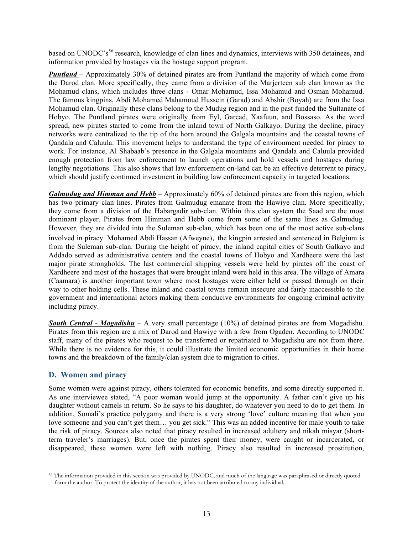based on UNODC's<sup>56</sup> research, knowledge of clan lines and dynamics, interviews with 350 detainees, and information provided by hostages via the hostage support program.

*Puntland* – Approximately 30% of detained pirates are from Puntland the majority of which come from the Darod clan. More specifically, they came from a division of the Marjerteen sub clan known as the Mohamud clans, which includes three clans - Omar Mohamud, Issa Mohamud and Osman Mohamud. The famous kingpins, Abdi Mohamed Mahamoud Hussein (Garad) and Abshir (Boyah) are from the Issa Mohamud clan. Originally these clans belong to the Mudug region and in the past funded the Sultanate of Hobyo. The Puntland pirates were originally from Eyl, Garcad, Xaafuun, and Bossaso. As the word spread, new pirates started to come from the inland town of North Galkayo. During the decline, piracy networks were centralized to the tip of the horn around the Galgala mountains and the coastal towns of Qandala and Caluula. This movement helps to understand the type of environment needed for piracy to work. For instance, Al Shabaab's presence in the Galgala mountains and Qandala and Caluula provided enough protection from law enforcement to launch operations and hold vessels and hostages during lengthy negotiations. This also shows that law enforcement on-land can be an effective deterrent to piracy, which should justify continued investment in building law enforcement capacity in targeted locations.

*Galmudug and Himman and Hebb* – Approximately 60% of detained pirates are from this region, which has two primary clan lines. Pirates from Galmudug emanate from the Hawiye clan. More specifically, they come from a division of the Habargadir sub-clan. Within this clan system the Saad are the most dominant player. Pirates from Himman and Hebb come from some of the same lines as Galmudug. However, they are divided into the Suleman sub-clan, which has been one of the most active sub-clans involved in piracy. Mohamed Abdi Hassan (Afweyne), the kingpin arrested and sentenced in Belgium is from the Suleman sub-clan. During the height of piracy, the inland capital cities of South Galkayo and Addado served as administrative centers and the coastal towns of Hobyo and Xardheere were the last major pirate strongholds. The last commercial shipping vessels were held by pirates off the coast of Xardheere and most of the hostages that were brought inland were held in this area. The village of Amara (Caamara) is another important town where most hostages were either held or passed through on their way to other holding cells. These inland and coastal towns remain insecure and fairly inaccessible to the government and international actors making them conducive environments for ongoing criminal activity including piracy.

*South Central - Mogadishu* – A very small percentage (10%) of detained pirates are from Mogadishu. Pirates from this region are a mix of Darod and Hawiye with a few from Ogaden. According to UNODC staff, many of the pirates who request to be transferred or repatriated to Mogadishu are not from there. While there is no evidence for this, it could illustrate the limited economic opportunities in their home towns and the breakdown of the family/clan system due to migration to cities.

### **D. Women and piracy**

 $\overline{a}$ 

Some women were against piracy, others tolerated for economic benefits, and some directly supported it. As one interviewee stated, "A poor woman would jump at the opportunity. A father can't give up his daughter without camels in return. So he says to his daughter, do whatever you need to do to get them. In addition, Somali's practice polygamy and there is a very strong 'love' culture meaning that when you love someone and you can't get them… you get sick." This was an added incentive for male youth to take the risk of piracy. Sources also noted that piracy resulted in increased adultery and nikah misyar (shortterm traveler's marriages). But, once the pirates spent their money, were caught or incarcerated, or disappeared, these women were left with nothing. Piracy also resulted in increased prostitution,

<sup>56</sup> The information provided in this section was provided by UNODC, and much of the language was paraphrased or directly quoted form the author. To protect the identity of the author, it has not been attributed to any individual.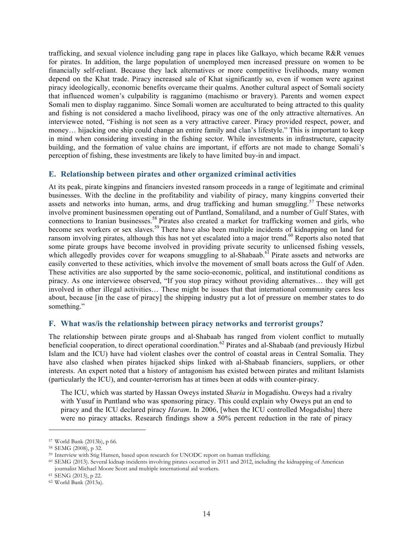trafficking, and sexual violence including gang rape in places like Galkayo, which became R&R venues for pirates. In addition, the large population of unemployed men increased pressure on women to be financially self-reliant. Because they lack alternatives or more competitive livelihoods, many women depend on the Khat trade. Piracy increased sale of Khat significantly so, even if women were against piracy ideologically, economic benefits overcame their qualms. Another cultural aspect of Somali society that influenced women's culpability is ragganimo (machismo or bravery). Parents and women expect Somali men to display ragganimo. Since Somali women are acculturated to being attracted to this quality and fishing is not considered a macho livelihood, piracy was one of the only attractive alternatives. An interviewee noted, "Fishing is not seen as a very attractive career. Piracy provided respect, power, and money… hijacking one ship could change an entire family and clan's lifestyle." This is important to keep in mind when considering investing in the fishing sector. While investments in infrastructure, capacity building, and the formation of value chains are important, if efforts are not made to change Somali's perception of fishing, these investments are likely to have limited buy-in and impact.

#### **E. Relationship between pirates and other organized criminal activities**

At its peak, pirate kingpins and financiers invested ransom proceeds in a range of legitimate and criminal businesses. With the decline in the profitability and viability of piracy, many kingpins converted their assets and networks into human, arms, and drug trafficking and human smuggling.<sup>57</sup> These networks involve prominent businessmen operating out of Puntland, Somaliland, and a number of Gulf States, with connections to Iranian businesses. <sup>58</sup> Pirates also created a market for trafficking women and girls, who become sex workers or sex slaves.<sup>59</sup> There have also been multiple incidents of kidnapping on land for ransom involving pirates, although this has not yet escalated into a major trend.<sup>60</sup> Reports also noted that some pirate groups have become involved in providing private security to unlicensed fishing vessels, which allegedly provides cover for weapons smuggling to al-Shabaab.<sup>61</sup> Pirate assets and networks are easily converted to these activities, which involve the movement of small boats across the Gulf of Aden. These activities are also supported by the same socio-economic, political, and institutional conditions as piracy. As one interviewee observed, "If you stop piracy without providing alternatives… they will get involved in other illegal activities… These might be issues that that international community cares less about, because [in the case of piracy] the shipping industry put a lot of pressure on member states to do something."

#### **F. What was/is the relationship between piracy networks and terrorist groups?**

The relationship between pirate groups and al-Shabaab has ranged from violent conflict to mutually beneficial cooperation, to direct operational coordination.<sup>62</sup> Pirates and al-Shabaab (and previously Hizbul Islam and the ICU) have had violent clashes over the control of coastal areas in Central Somalia. They have also clashed when pirates hijacked ships linked with al-Shabaab financiers, suppliers, or other interests. An expert noted that a history of antagonism has existed between pirates and militant Islamists (particularly the ICU), and counter-terrorism has at times been at odds with counter-piracy.

The ICU, which was started by Hassan Oweys instated *Sharia* in Mogadishu. Oweys had a rivalry with Yusuf in Puntland who was sponsoring piracy. This could explain why Oweys put an end to piracy and the ICU declared piracy *Haram*. In 2006, [when the ICU controlled Mogadishu] there were no piracy attacks. Research findings show a 50% percent reduction in the rate of piracy

<sup>57</sup> World Bank (2013b), p 66.

<sup>58</sup> SEMG (2008), p 32.

<sup>59</sup> Interview with Stig Hansen, based upon research for UNODC report on human trafficking.

<sup>60</sup> SEMG (2013). Several kidnap incidents involving pirates occurred in 2011 and 2012, including the kidnapping of American journalist Michael Moore Scott and multiple international aid workers.

<sup>61</sup> SENG (2013), p 22.

<sup>62</sup> World Bank (2013a).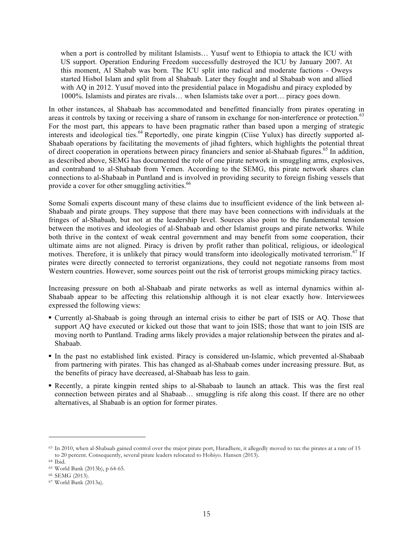when a port is controlled by militant Islamists… Yusuf went to Ethiopia to attack the ICU with US support. Operation Enduring Freedom successfully destroyed the ICU by January 2007. At this moment, Al Shabab was born. The ICU split into radical and moderate factions - Oweys started Hisbol Islam and split from al Shabaab. Later they fought and al Shabaab won and allied with AQ in 2012. Yusuf moved into the presidential palace in Mogadishu and piracy exploded by 1000%. Islamists and pirates are rivals… when Islamists take over a port… piracy goes down.

In other instances, al Shabaab has accommodated and benefitted financially from pirates operating in areas it controls by taxing or receiving a share of ransom in exchange for non-interference or protection.<sup>63</sup> For the most part, this appears to have been pragmatic rather than based upon a merging of strategic interests and ideological ties.<sup>64</sup> Reportedly, one pirate kingpin (Ciise Yulux) has directly supported al-Shabaab operations by facilitating the movements of jihad fighters, which highlights the potential threat of direct cooperation in operations between piracy financiers and senior al-Shabaab figures.<sup>65</sup> In addition, as described above, SEMG has documented the role of one pirate network in smuggling arms, explosives, and contraband to al-Shabaab from Yemen. According to the SEMG, this pirate network shares clan connections to al-Shabaab in Puntland and is involved in providing security to foreign fishing vessels that provide a cover for other smuggling activities.<sup>66</sup>

Some Somali experts discount many of these claims due to insufficient evidence of the link between al-Shabaab and pirate groups. They suppose that there may have been connections with individuals at the fringes of al-Shabaab, but not at the leadership level. Sources also point to the fundamental tension between the motives and ideologies of al-Shabaab and other Islamist groups and pirate networks. While both thrive in the context of weak central government and may benefit from some cooperation, their ultimate aims are not aligned. Piracy is driven by profit rather than political, religious, or ideological motives. Therefore, it is unlikely that piracy would transform into ideologically motivated terrorism.<sup>67</sup> If pirates were directly connected to terrorist organizations, they could not negotiate ransoms from most Western countries. However, some sources point out the risk of terrorist groups mimicking piracy tactics.

Increasing pressure on both al-Shabaab and pirate networks as well as internal dynamics within al-Shabaab appear to be affecting this relationship although it is not clear exactly how. Interviewees expressed the following views:

- § Currently al-Shabaab is going through an internal crisis to either be part of ISIS or AQ. Those that support AQ have executed or kicked out those that want to join ISIS; those that want to join ISIS are moving north to Puntland. Trading arms likely provides a major relationship between the pirates and al-Shabaab.
- § In the past no established link existed. Piracy is considered un-Islamic, which prevented al-Shabaab from partnering with pirates. This has changed as al-Shabaab comes under increasing pressure. But, as the benefits of piracy have decreased, al-Shabaab has less to gain.
- § Recently, a pirate kingpin rented ships to al-Shabaab to launch an attack. This was the first real connection between pirates and al Shabaab… smuggling is rife along this coast. If there are no other alternatives, al Shabaab is an option for former pirates.

<sup>63</sup> In 2010, when al-Shabaab gained control over the major pirate port, Haradhere, it allegedly moved to tax the pirates at a rate of 15 to 20 percent. Consequently, several pirate leaders relocated to Hobiyo. Hansen (2013). 64 Ibid.

<sup>65</sup> World Bank (2013b), p 64-65.

<sup>66</sup> SEMG (2013).

<sup>67</sup> World Bank (2013a).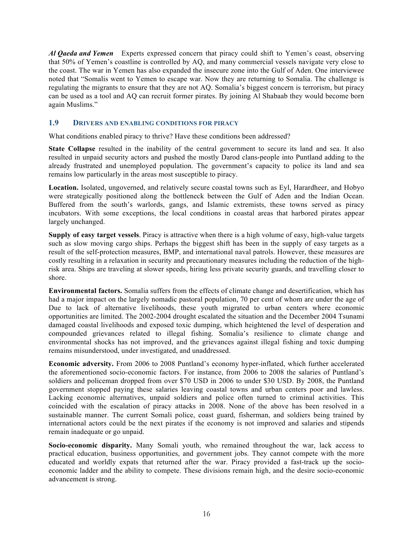*Al Qaeda and Yemen* Experts expressed concern that piracy could shift to Yemen's coast, observing that 50% of Yemen's coastline is controlled by AQ, and many commercial vessels navigate very close to the coast. The war in Yemen has also expanded the insecure zone into the Gulf of Aden. One interviewee noted that "Somalis went to Yemen to escape war. Now they are returning to Somalia. The challenge is regulating the migrants to ensure that they are not AQ. Somalia's biggest concern is terrorism, but piracy can be used as a tool and AQ can recruit former pirates. By joining Al Shabaab they would become born again Muslims."

#### **1.9 DRIVERS AND ENABLING CONDITIONS FOR PIRACY**

What conditions enabled piracy to thrive? Have these conditions been addressed?

**State Collapse** resulted in the inability of the central government to secure its land and sea. It also resulted in unpaid security actors and pushed the mostly Darod clans-people into Puntland adding to the already frustrated and unemployed population. The government's capacity to police its land and sea remains low particularly in the areas most susceptible to piracy.

**Location.** Isolated, ungoverned, and relatively secure coastal towns such as Eyl, Harardheer, and Hobyo were strategically positioned along the bottleneck between the Gulf of Aden and the Indian Ocean. Buffered from the south's warlords, gangs, and Islamic extremists, these towns served as piracy incubators. With some exceptions, the local conditions in coastal areas that harbored pirates appear largely unchanged.

**Supply of easy target vessels**. Piracy is attractive when there is a high volume of easy, high-value targets such as slow moving cargo ships. Perhaps the biggest shift has been in the supply of easy targets as a result of the self-protection measures, BMP, and international naval patrols. However, these measures are costly resulting in a relaxation in security and precautionary measures including the reduction of the highrisk area. Ships are traveling at slower speeds, hiring less private security guards, and travelling closer to shore.

**Environmental factors.** Somalia suffers from the effects of climate change and desertification, which has had a major impact on the largely nomadic pastoral population, 70 per cent of whom are under the age of Due to lack of alternative livelihoods, these youth migrated to urban centers where economic opportunities are limited. The 2002-2004 drought escalated the situation and the December 2004 Tsunami damaged coastal livelihoods and exposed toxic dumping, which heightened the level of desperation and compounded grievances related to illegal fishing. Somalia's resilience to climate change and environmental shocks has not improved, and the grievances against illegal fishing and toxic dumping remains misunderstood, under investigated, and unaddressed.

**Economic adversity.** From 2006 to 2008 Puntland's economy hyper-inflated, which further accelerated the aforementioned socio-economic factors. For instance, from 2006 to 2008 the salaries of Puntland's soldiers and policeman dropped from over \$70 USD in 2006 to under \$30 USD. By 2008, the Puntland government stopped paying these salaries leaving coastal towns and urban centers poor and lawless. Lacking economic alternatives, unpaid soldiers and police often turned to criminal activities. This coincided with the escalation of piracy attacks in 2008. None of the above has been resolved in a sustainable manner. The current Somali police, coast guard, fisherman, and soldiers being trained by international actors could be the next pirates if the economy is not improved and salaries and stipends remain inadequate or go unpaid.

**Socio-economic disparity.** Many Somali youth, who remained throughout the war, lack access to practical education, business opportunities, and government jobs. They cannot compete with the more educated and worldly expats that returned after the war. Piracy provided a fast-track up the socioeconomic ladder and the ability to compete. These divisions remain high, and the desire socio-economic advancement is strong.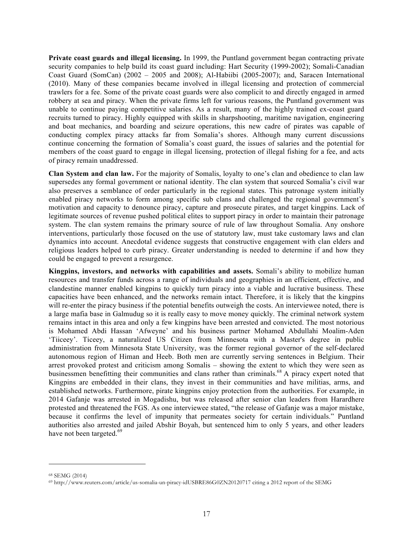**Private coast guards and illegal licensing.** In 1999, the Puntland government began contracting private security companies to help build its coast guard including: Hart Security (1999-2002); Somali-Canadian Coast Guard (SomCan) (2002 – 2005 and 2008); Al-Habiibi (2005-2007); and, Saracen International (2010). Many of these companies became involved in illegal licensing and protection of commercial trawlers for a fee. Some of the private coast guards were also complicit to and directly engaged in armed robbery at sea and piracy. When the private firms left for various reasons, the Puntland government was unable to continue paying competitive salaries. As a result, many of the highly trained ex-coast guard recruits turned to piracy. Highly equipped with skills in sharpshooting, maritime navigation, engineering and boat mechanics, and boarding and seizure operations, this new cadre of pirates was capable of conducting complex piracy attacks far from Somalia's shores. Although many current discussions continue concerning the formation of Somalia's coast guard, the issues of salaries and the potential for members of the coast guard to engage in illegal licensing, protection of illegal fishing for a fee, and acts of piracy remain unaddressed.

**Clan System and clan law.** For the majority of Somalis, loyalty to one's clan and obedience to clan law supersedes any formal government or national identity. The clan system that sourced Somalia's civil war also preserves a semblance of order particularly in the regional states. This patronage system initially enabled piracy networks to form among specific sub clans and challenged the regional government's motivation and capacity to denounce piracy, capture and prosecute pirates, and target kingpins. Lack of legitimate sources of revenue pushed political elites to support piracy in order to maintain their patronage system. The clan system remains the primary source of rule of law throughout Somalia. Any onshore interventions, particularly those focused on the use of statutory law, must take customary laws and clan dynamics into account. Anecdotal evidence suggests that constructive engagement with clan elders and religious leaders helped to curb piracy. Greater understanding is needed to determine if and how they could be engaged to prevent a resurgence.

**Kingpins, investors, and networks with capabilities and assets.** Somali's ability to mobilize human resources and transfer funds across a range of individuals and geographies in an efficient, effective, and clandestine manner enabled kingpins to quickly turn piracy into a viable and lucrative business. These capacities have been enhanced, and the networks remain intact. Therefore, it is likely that the kingpins will re-enter the piracy business if the potential benefits outweigh the costs. An interviewee noted, there is a large mafia base in Galmudug so it is really easy to move money quickly. The criminal network system remains intact in this area and only a few kingpins have been arrested and convicted. The most notorious is Mohamed Abdi Hassan 'Afweyne' and his business partner Mohamed Abdullahi Moalim-Aden 'Tiiceey'. Ticeey, a naturalized US Citizen from Minnesota with a Master's degree in public administration from Minnesota State University, was the former regional governor of the self-declared autonomous region of Himan and Heeb. Both men are currently serving sentences in Belgium. Their arrest provoked protest and criticism among Somalis – showing the extent to which they were seen as businessmen benefitting their communities and clans rather than criminals.<sup>68</sup> A piracy expert noted that Kingpins are embedded in their clans, they invest in their communities and have militias, arms, and established networks. Furthermore, pirate kingpins enjoy protection from the authorities. For example, in 2014 Gafanje was arrested in Mogadishu, but was released after senior clan leaders from Harardhere protested and threatened the FGS. As one interviewee stated, "the release of Gafanje was a major mistake, because it confirms the level of impunity that permeates society for certain individuals." Puntland authorities also arrested and jailed Abshir Boyah, but sentenced him to only 5 years, and other leaders have not been targeted.<sup>69</sup>

<sup>68</sup> SEMG (2014)

<sup>69</sup> http://www.reuters.com/article/us-somalia-un-piracy-idUSBRE86G0ZN20120717 citing a 2012 report of the SEMG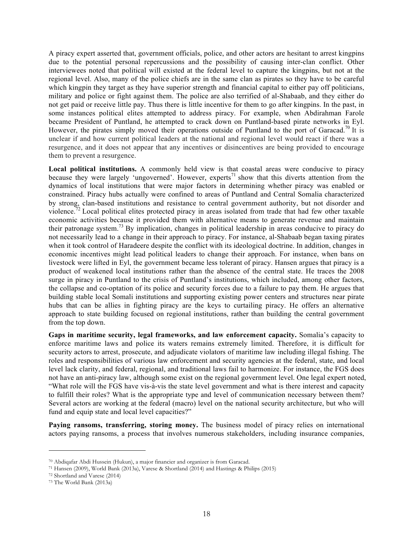A piracy expert asserted that, government officials, police, and other actors are hesitant to arrest kingpins due to the potential personal repercussions and the possibility of causing inter-clan conflict. Other interviewees noted that political will existed at the federal level to capture the kingpins, but not at the regional level. Also, many of the police chiefs are in the same clan as pirates so they have to be careful which kingpin they target as they have superior strength and financial capital to either pay off politicians, military and police or fight against them. The police are also terrified of al-Shabaab, and they either do not get paid or receive little pay. Thus there is little incentive for them to go after kingpins. In the past, in some instances political elites attempted to address piracy. For example, when Abdirahman Farole became President of Puntland, he attempted to crack down on Puntland-based pirate networks in Eyl. However, the pirates simply moved their operations outside of Puntland to the port of Garacad.<sup>70</sup> It is unclear if and how current political leaders at the national and regional level would react if there was a resurgence, and it does not appear that any incentives or disincentives are being provided to encourage them to prevent a resurgence.

**Local political institutions.** A commonly held view is that coastal areas were conducive to piracy because they were largely 'ungoverned'. However, experts<sup>71</sup> show that this diverts attention from the dynamics of local institutions that were major factors in determining whether piracy was enabled or constrained. Piracy hubs actually were confined to areas of Puntland and Central Somalia characterized by strong, clan-based institutions and resistance to central government authority, but not disorder and violence.<sup>72</sup> Local political elites protected piracy in areas isolated from trade that had few other taxable economic activities because it provided them with alternative means to generate revenue and maintain their patronage system.<sup>73</sup> By implication, changes in political leadership in areas conducive to piracy do not necessarily lead to a change in their approach to piracy. For instance, al-Shabaab began taxing pirates when it took control of Haradeere despite the conflict with its ideological doctrine. In addition, changes in economic incentives might lead political leaders to change their approach. For instance, when bans on livestock were lifted in Eyl, the government became less tolerant of piracy. Hansen argues that piracy is a product of weakened local institutions rather than the absence of the central state. He traces the 2008 surge in piracy in Puntland to the crisis of Puntland's institutions, which included, among other factors, the collapse and co-optation of its police and security forces due to a failure to pay them. He argues that building stable local Somali institutions and supporting existing power centers and structures near pirate hubs that can be allies in fighting piracy are the keys to curtailing piracy. He offers an alternative approach to state building focused on regional institutions, rather than building the central government from the top down.

**Gaps in maritime security, legal frameworks, and law enforcement capacity.** Somalia's capacity to enforce maritime laws and police its waters remains extremely limited. Therefore, it is difficult for security actors to arrest, prosecute, and adjudicate violators of maritime law including illegal fishing. The roles and responsibilities of various law enforcement and security agencies at the federal, state, and local level lack clarity, and federal, regional, and traditional laws fail to harmonize. For instance, the FGS does not have an anti-piracy law, although some exist on the regional government level. One legal expert noted, "What role will the FGS have vis-à-vis the state level government and what is there interest and capacity to fulfill their roles? What is the appropriate type and level of communication necessary between them? Several actors are working at the federal (macro) level on the national security architecture, but who will fund and equip state and local level capacities?"

**Paying ransoms, transferring, storing money.** The business model of piracy relies on international actors paying ransoms, a process that involves numerous stakeholders, including insurance companies,

<sup>70</sup> Abdiqafar Abdi Hussein (Hukun), a major financier and organizer is from Garacad.

<sup>71</sup> Hansen (2009), World Bank (2013a), Varese & Shortland (2014) and Hastings & Philips (2015)

<sup>72</sup> Shortland and Varese (2014)

<sup>73</sup> The World Bank (2013a)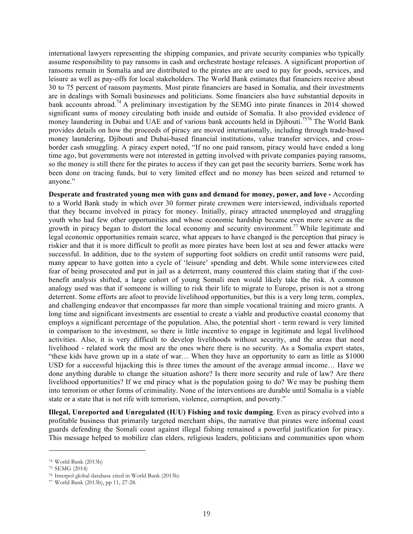international lawyers representing the shipping companies, and private security companies who typically assume responsibility to pay ransoms in cash and orchestrate hostage releases. A significant proportion of ransoms remain in Somalia and are distributed to the pirates are are used to pay for goods, services, and leisure as well as pay-offs for local stakeholders. The World Bank estimates that financiers receive about 30 to 75 percent of ransom payments. Most pirate financiers are based in Somalia, and their investments are in dealings with Somali businesses and politicians. Some financiers also have substantial deposits in bank accounts abroad.<sup>74</sup> A preliminary investigation by the SEMG into pirate finances in 2014 showed significant sums of money circulating both inside and outside of Somalia. It also provided evidence of money laundering in Dubai and UAE and of various bank accounts held in Djibouti.<sup>7576</sup> The World Bank provides details on how the proceeds of piracy are moved internationally, including through trade-based money laundering, Diibouti and Dubai-based financial institutions, value transfer services, and crossborder cash smuggling. A piracy expert noted, "If no one paid ransom, piracy would have ended a long time ago, but governments were not interested in getting involved with private companies paying ransoms, so the money is still there for the pirates to access if they can get past the security barriers. Some work has been done on tracing funds, but to very limited effect and no money has been seized and returned to anyone."

**Desperate and frustrated young men with guns and demand for money, power, and love -** According to a World Bank study in which over 30 former pirate crewmen were interviewed, individuals reported that they became involved in piracy for money. Initially, piracy attracted unemployed and struggling youth who had few other opportunities and whose economic hardship became even more severe as the growth in piracy began to distort the local economy and security environment.<sup>77</sup> While legitimate and legal economic opportunities remain scarce, what appears to have changed is the perception that piracy is riskier and that it is more difficult to profit as more pirates have been lost at sea and fewer attacks were successful. In addition, due to the system of supporting foot soldiers on credit until ransoms were paid, many appear to have gotten into a cycle of 'leisure' spending and debt. While some interviewees cited fear of being prosecuted and put in jail as a deterrent, many countered this claim stating that if the costbenefit analysis shifted, a large cohort of young Somali men would likely take the risk. A common analogy used was that if someone is willing to risk their life to migrate to Europe, prison is not a strong deterrent. Some efforts are afoot to provide livelihood opportunities, but this is a very long term, complex, and challenging endeavor that encompasses far more than simple vocational training and micro grants. A long time and significant investments are essential to create a viable and productive coastal economy that employs a significant percentage of the population. Also, the potential short - term reward is very limited in comparison to the investment, so there is little incentive to engage in legitimate and legal livelihood activities. Also, it is very difficult to develop livelihoods without security, and the areas that need livelihood - related work the most are the ones where there is no security. As a Somalia expert states, "these kids have grown up in a state of war… When they have an opportunity to earn as little as \$1000 USD for a successful hijacking this is three times the amount of the average annual income… Have we done anything durable to change the situation ashore? Is there more security and rule of law? Are there livelihood opportunities? If we end piracy what is the population going to do? We may be pushing them into terrorism or other forms of criminality. None of the interventions are durable until Somalia is a viable state or a state that is not rife with terrorism, violence, corruption, and poverty."

**Illegal, Unreported and Unregulated (IUU) Fishing and toxic dumping**. Even as piracy evolved into a profitable business that primarily targeted merchant ships, the narrative that pirates were informal coast guards defending the Somali coast against illegal fishing remained a powerful justification for piracy. This message helped to mobilize clan elders, religious leaders, politicians and communities upon whom

<sup>74</sup> World Bank (2013b)

<sup>75</sup> SEMG (2014)

<sup>76</sup> Interpol global database cited in World Bank (2013b)

<sup>77</sup> World Bank (2013b), pp 11, 27-28.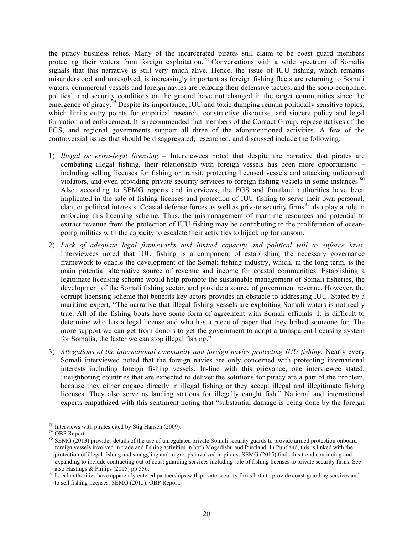the piracy business relies. Many of the incarcerated pirates still claim to be coast guard members protecting their waters from foreign exploitation.<sup>78</sup> Conversations with a wide spectrum of Somalis signals that this narrative is still very much alive. Hence, the issue of IUU fishing, which remains misunderstood and unresolved, is increasingly important as foreign fishing fleets are returning to Somali waters, commercial vessels and foreign navies are relaxing their defensive tactics, and the socio-economic, political, and security conditions on the ground have not changed in the target communities since the emergence of piracy.<sup>79</sup> Despite its importance, IUU and toxic dumping remain politically sensitive topics, which limits entry points for empirical research, constructive discourse, and sincere policy and legal formation and enforcement. It is recommended that members of the Contact Group, representatives of the FGS, and regional governments support all three of the aforementioned activities. A few of the controversial issues that should be disaggregated, researched, and discussed include the following:

- 1) *Illegal or extra-legal licensing* Interviewees noted that despite the narrative that pirates are combating illegal fishing, their relationship with foreign vessels has been more opportunistic – including selling licenses for fishing or transit, protecting licensed vessels and attacking unlicensed violators, and even providing private security services to foreign fishing vessels in some instances.<sup>80</sup> Also, according to SEMG reports and interviews, the FGS and Puntland authorities have been implicated in the sale of fishing licenses and protection of IUU fishing to serve their own personal, clan, or political interests. Coastal defense forces as well as private security firms<sup>81</sup> also play a role in enforcing this licensing scheme. Thus, the mismanagement of maritime resources and potential to extract revenue from the protection of IUU fishing may be contributing to the proliferation of oceangoing militias with the capacity to escalate their activities to hijacking for ransom.
- 2) *Lack of adequate legal frameworks and limited capacity and political will to enforce laws.* Interviewees noted that IUU fishing is a component of establishing the necessary governance framework to enable the development of the Somali fishing industry, which, in the long term, is the main potential alternative source of revenue and income for coastal communities. Establishing a legitimate licensing scheme would help promote the sustainable management of Somali fisheries, the development of the Somali fishing sector, and provide a source of government revenue. However, the corrupt licensing scheme that benefits key actors provides an obstacle to addressing IUU. Stated by a maritime expert, "The narrative that illegal fishing vessels are exploiting Somali waters is not really true. All of the fishing boats have some form of agreement with Somali officials. It is difficult to determine who has a legal license and who has a piece of paper that they bribed someone for. The more support we can get from donors to get the government to adopt a transparent licensing system for Somalia, the faster we can stop illegal fishing."
- 3) *Allegations of the international community and foreign navies protecting IUU fishing.* Nearly every Somali interviewed noted that the foreign navies are only concerned with protecting international interests including foreign fishing vessels. In-line with this grievance, one interviewee stated, "neighboring countries that are expected to deliver the solutions for piracy are a part of the problem, because they either engage directly in illegal fishing or they accept illegal and illegitimate fishing licenses. They also serve as landing stations for illegally caught fish." National and international experts empathized with this sentiment noting that "substantial damage is being done by the foreign

<sup>&</sup>lt;sup>78</sup> Interviews with pirates cited by Stig Hansen (2009).<br><sup>79</sup> OBP Report.<br><sup>80</sup> SEMG (2013) provides details of the use of unregulated private Somali security guards to provide armed protection onboard foreign vessels involved in trade and fishing activities in both Mogadishu and Puntland. In Puntland, this is linked with the protection of illegal fishing and smuggling and to groups involved in piracy. SEMG (2015) finds this trend continuing and expanding to include contracting out of coast guarding services including sale of fishing licenses to private security firms. See also Hastings & Philips (2015) pp 556.<br><sup>81</sup> Local authorities have apparently entered partnerships with private security firms both to provide coast-guarding services and

to sell fishing licenses. SEMG (2015). OBP Report.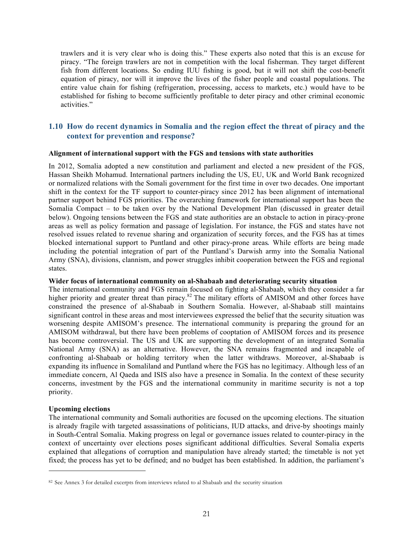trawlers and it is very clear who is doing this." These experts also noted that this is an excuse for piracy. "The foreign trawlers are not in competition with the local fisherman. They target different fish from different locations. So ending IUU fishing is good, but it will not shift the cost-benefit equation of piracy, nor will it improve the lives of the fisher people and coastal populations. The entire value chain for fishing (refrigeration, processing, access to markets, etc.) would have to be established for fishing to become sufficiently profitable to deter piracy and other criminal economic activities."

### **1.10 How do recent dynamics in Somalia and the region effect the threat of piracy and the context for prevention and response?**

#### **Alignment of international support with the FGS and tensions with state authorities**

In 2012, Somalia adopted a new constitution and parliament and elected a new president of the FGS, Hassan Sheikh Mohamud. International partners including the US, EU, UK and World Bank recognized or normalized relations with the Somali government for the first time in over two decades. One important shift in the context for the TF support to counter-piracy since 2012 has been alignment of international partner support behind FGS priorities. The overarching framework for international support has been the Somalia Compact – to be taken over by the National Development Plan (discussed in greater detail below). Ongoing tensions between the FGS and state authorities are an obstacle to action in piracy-prone areas as well as policy formation and passage of legislation. For instance, the FGS and states have not resolved issues related to revenue sharing and organization of security forces, and the FGS has at times blocked international support to Puntland and other piracy-prone areas*.* While efforts are being made including the potential integration of part of the Puntland's Darwish army into the Somalia National Army (SNA), divisions, clannism, and power struggles inhibit cooperation between the FGS and regional states.

#### **Wider focus of international community on al-Shabaab and deteriorating security situation**

The international community and FGS remain focused on fighting al-Shabaab, which they consider a far higher priority and greater threat than piracy.<sup>82</sup> The military efforts of AMISOM and other forces have constrained the presence of al-Shabaab in Southern Somalia. However, al-Shabaab still maintains significant control in these areas and most interviewees expressed the belief that the security situation was worsening despite AMISOM's presence. The international community is preparing the ground for an AMISOM withdrawal, but there have been problems of cooptation of AMISOM forces and its presence has become controversial. The US and UK are supporting the development of an integrated Somalia National Army (SNA) as an alternative. However, the SNA remains fragmented and incapable of confronting al-Shabaab or holding territory when the latter withdraws. Moreover, al-Shabaab is expanding its influence in Somaliland and Puntland where the FGS has no legitimacy. Although less of an immediate concern, Al Qaeda and ISIS also have a presence in Somalia. In the context of these security concerns, investment by the FGS and the international community in maritime security is not a top priority.

#### **Upcoming elections**

 $\overline{a}$ 

The international community and Somali authorities are focused on the upcoming elections. The situation is already fragile with targeted assassinations of politicians, IUD attacks, and drive-by shootings mainly in South-Central Somalia. Making progress on legal or governance issues related to counter-piracy in the context of uncertainty over elections poses significant additional difficulties. Several Somalia experts explained that allegations of corruption and manipulation have already started; the timetable is not yet fixed; the process has yet to be defined; and no budget has been established. In addition, the parliament's

<sup>82</sup> See Annex 3 for detailed excerpts from interviews related to al Shabaab and the security situation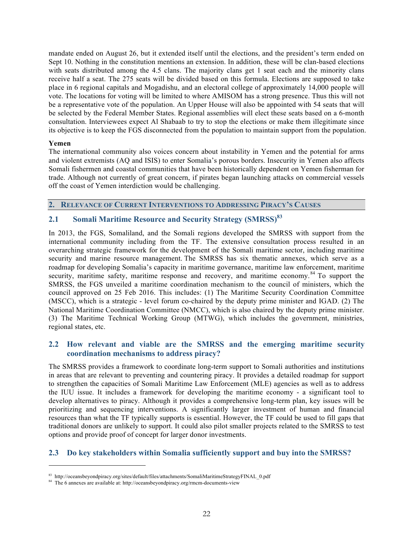mandate ended on August 26, but it extended itself until the elections, and the president's term ended on Sept 10. Nothing in the constitution mentions an extension. In addition, these will be clan-based elections with seats distributed among the 4.5 clans. The majority clans get 1 seat each and the minority clans receive half a seat. The 275 seats will be divided based on this formula. Elections are supposed to take place in 6 regional capitals and Mogadishu, and an electoral college of approximately 14,000 people will vote. The locations for voting will be limited to where AMISOM has a strong presence. Thus this will not be a representative vote of the population. An Upper House will also be appointed with 54 seats that will be selected by the Federal Member States. Regional assemblies will elect these seats based on a 6-month consultation. Interviewees expect Al Shabaab to try to stop the elections or make them illegitimate since its objective is to keep the FGS disconnected from the population to maintain support from the population.

#### **Yemen**

 $\overline{a}$ 

The international community also voices concern about instability in Yemen and the potential for arms and violent extremists (AQ and ISIS) to enter Somalia's porous borders. Insecurity in Yemen also affects Somali fishermen and coastal communities that have been historically dependent on Yemen fisherman for trade. Although not currently of great concern, if pirates began launching attacks on commercial vessels off the coast of Yemen interdiction would be challenging.

#### **2. RELEVANCE OF CURRENT INTERVENTIONS TO ADDRESSING PIRACY'S CAUSES**

# **2.1 Somali Maritime Resource and Security Strategy (SMRSS) 83**

In 2013, the FGS, Somaliland, and the Somali regions developed the SMRSS with support from the international community including from the TF. The extensive consultation process resulted in an overarching strategic framework for the development of the Somali maritime sector, including maritime security and marine resource management. The SMRSS has six thematic annexes, which serve as a roadmap for developing Somalia's capacity in maritime governance, maritime law enforcement, maritime security, maritime safety, maritime response and recovery, and maritime economy.<sup>84</sup> To support the SMRSS, the FGS unveiled a maritime coordination mechanism to the council of ministers, which the council approved on 25 Feb 2016. This includes: (1) The Maritime Security Coordination Committee (MSCC), which is a strategic - level forum co-chaired by the deputy prime minister and IGAD. (2) The National Maritime Coordination Committee (NMCC), which is also chaired by the deputy prime minister. (3) The Maritime Technical Working Group (MTWG), which includes the government, ministries, regional states, etc.

### **2.2 How relevant and viable are the SMRSS and the emerging maritime security coordination mechanisms to address piracy?**

The SMRSS provides a framework to coordinate long-term support to Somali authorities and institutions in areas that are relevant to preventing and countering piracy. It provides a detailed roadmap for support to strengthen the capacities of Somali Maritime Law Enforcement (MLE) agencies as well as to address the IUU issue. It includes a framework for developing the maritime economy - a significant tool to develop alternatives to piracy. Although it provides a comprehensive long-term plan, key issues will be prioritizing and sequencing interventions. A significantly larger investment of human and financial resources than what the TF typically supports is essential. However, the TF could be used to fill gaps that traditional donors are unlikely to support. It could also pilot smaller projects related to the SMRSS to test options and provide proof of concept for larger donor investments.

### **2.3 Do key stakeholders within Somalia sufficiently support and buy into the SMRSS?**

<sup>83</sup> http://oceansbeyondpiracy.org/sites/default/files/attachments/SomaliMaritimeStrategyFINAL\_0.pdf

<sup>84</sup> The 6 annexes are available at: http://oceansbeyondpiracy.org/rmcm-documents-view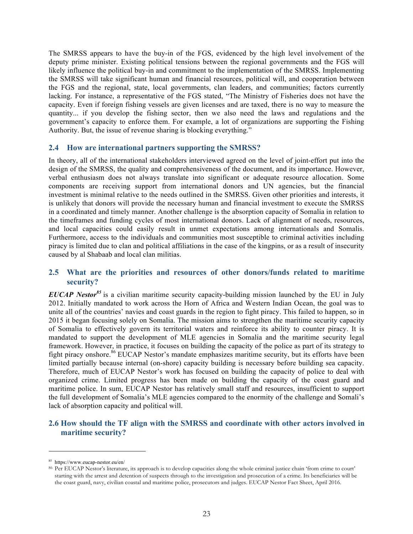The SMRSS appears to have the buy-in of the FGS, evidenced by the high level involvement of the deputy prime minister. Existing political tensions between the regional governments and the FGS will likely influence the political buy-in and commitment to the implementation of the SMRSS. Implementing the SMRSS will take significant human and financial resources, political will, and cooperation between the FGS and the regional, state, local governments, clan leaders, and communities; factors currently lacking. For instance, a representative of the FGS stated, "The Ministry of Fisheries does not have the capacity. Even if foreign fishing vessels are given licenses and are taxed, there is no way to measure the quantity... if you develop the fishing sector, then we also need the laws and regulations and the government's capacity to enforce them. For example, a lot of organizations are supporting the Fishing Authority. But, the issue of revenue sharing is blocking everything."

#### **2.4 How are international partners supporting the SMRSS?**

In theory, all of the international stakeholders interviewed agreed on the level of joint-effort put into the design of the SMRSS, the quality and comprehensiveness of the document, and its importance. However, verbal enthusiasm does not always translate into significant or adequate resource allocation. Some components are receiving support from international donors and UN agencies, but the financial investment is minimal relative to the needs outlined in the SMRSS. Given other priorities and interests, it is unlikely that donors will provide the necessary human and financial investment to execute the SMRSS in a coordinated and timely manner. Another challenge is the absorption capacity of Somalia in relation to the timeframes and funding cycles of most international donors. Lack of alignment of needs, resources, and local capacities could easily result in unmet expectations among internationals and Somalis. Furthermore, access to the individuals and communities most susceptible to criminal activities including piracy is limited due to clan and political affiliations in the case of the kingpins, or as a result of insecurity caused by al Shabaab and local clan militias.

### **2.5 What are the priorities and resources of other donors/funds related to maritime security?**

*EUCAP Nestor<sup>85</sup>* is a civilian maritime security capacity-building mission launched by the EU in July 2012. Initially mandated to work across the Horn of Africa and Western Indian Ocean, the goal was to unite all of the countries' navies and coast guards in the region to fight piracy. This failed to happen, so in 2015 it began focusing solely on Somalia. The mission aims to strengthen the maritime security capacity of Somalia to effectively govern its territorial waters and reinforce its ability to counter piracy. It is mandated to support the development of MLE agencies in Somalia and the maritime security legal framework. However, in practice, it focuses on building the capacity of the police as part of its strategy to fight piracy onshore.<sup>86</sup> EUCAP Nestor's mandate emphasizes maritime security, but its efforts have been limited partially because internal (on-shore) capacity building is necessary before building sea capacity. Therefore, much of EUCAP Nestor's work has focused on building the capacity of police to deal with organized crime. Limited progress has been made on building the capacity of the coast guard and maritime police. In sum, EUCAP Nestor has relatively small staff and resources, insufficient to support the full development of Somalia's MLE agencies compared to the enormity of the challenge and Somali's lack of absorption capacity and political will.

### **2.6 How should the TF align with the SMRSS and coordinate with other actors involved in maritime security?**

<sup>85</sup> https://www.eucap-nestor.eu/en/

<sup>86</sup> Per EUCAP Nestor's literature, its approach is to develop capacities along the whole criminal justice chain 'from crime to court' starting with the arrest and detention of suspects through to the investigation and prosecution of a crime. Its beneficiaries will be the coast guard, navy, civilian coastal and maritime police, prosecutors and judges. EUCAP Nestor Fact Sheet, April 2016.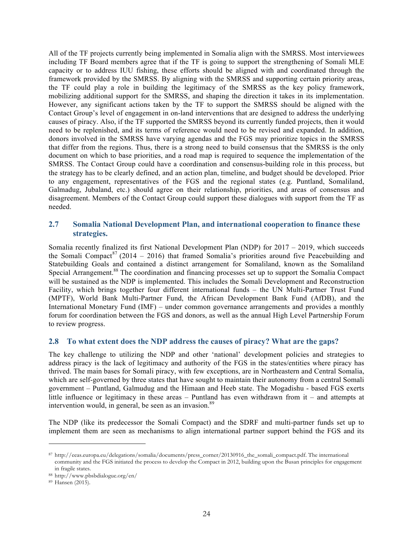All of the TF projects currently being implemented in Somalia align with the SMRSS. Most interviewees including TF Board members agree that if the TF is going to support the strengthening of Somali MLE capacity or to address IUU fishing, these efforts should be aligned with and coordinated through the framework provided by the SMRSS. By aligning with the SMRSS and supporting certain priority areas, the TF could play a role in building the legitimacy of the SMRSS as the key policy framework, mobilizing additional support for the SMRSS, and shaping the direction it takes in its implementation. However, any significant actions taken by the TF to support the SMRSS should be aligned with the Contact Group's level of engagement in on-land interventions that are designed to address the underlying causes of piracy. Also, if the TF supported the SMRSS beyond its currently funded projects, then it would need to be replenished, and its terms of reference would need to be revised and expanded. In addition, donors involved in the SMRSS have varying agendas and the FGS may prioritize topics in the SMRSS that differ from the regions. Thus, there is a strong need to build consensus that the SMRSS is the only document on which to base priorities, and a road map is required to sequence the implementation of the SMRSS. The Contact Group could have a coordination and consensus-building role in this process, but the strategy has to be clearly defined, and an action plan, timeline, and budget should be developed. Prior to any engagement, representatives of the FGS and the regional states (e.g. Puntland, Somaliland, Galmadug, Jubaland, etc.) should agree on their relationship, priorities, and areas of consensus and disagreement. Members of the Contact Group could support these dialogues with support from the TF as needed.

### **2.7 Somalia National Development Plan, and international cooperation to finance these strategies.**

Somalia recently finalized its first National Development Plan (NDP) for 2017 – 2019, which succeeds the Somali Compact<sup>87</sup> (2014 – 2016) that framed Somalia's priorities around five Peacebuilding and Statebuilding Goals and contained a distinct arrangement for Somaliland, known as the Somaliland Special Arrangement.<sup>88</sup> The coordination and financing processes set up to support the Somalia Compact will be sustained as the NDP is implemented. This includes the Somali Development and Reconstruction Facility, which brings together four different international funds – the UN Multi-Partner Trust Fund (MPTF), World Bank Multi-Partner Fund, the African Development Bank Fund (AfDB), and the International Monetary Fund (IMF) – under common governance arrangements and provides a monthly forum for coordination between the FGS and donors, as well as the annual High Level Partnership Forum to review progress.

#### **2.8 To what extent does the NDP address the causes of piracy? What are the gaps?**

The key challenge to utilizing the NDP and other 'national' development policies and strategies to address piracy is the lack of legitimacy and authority of the FGS in the states/entities where piracy has thrived. The main bases for Somali piracy, with few exceptions, are in Northeastern and Central Somalia, which are self-governed by three states that have sought to maintain their autonomy from a central Somali government – Puntland, Galmudug and the Himaan and Heeb state. The Mogadishu - based FGS exerts little influence or legitimacy in these areas – Puntland has even withdrawn from it – and attempts at intervention would, in general, be seen as an invasion.<sup>89</sup>

The NDP (like its predecessor the Somali Compact) and the SDRF and multi-partner funds set up to implement them are seen as mechanisms to align international partner support behind the FGS and its

<sup>87</sup> http://eeas.europa.eu/delegations/somalia/documents/press\_corner/20130916\_the\_somali\_compact.pdf. The international community and the FGS initiated the process to develop the Compact in 2012, building upon the Busan principles for engagement in fragile states.

<sup>88</sup> http://www.pbsbdialogue.org/en/

<sup>89</sup> Hansen (2015).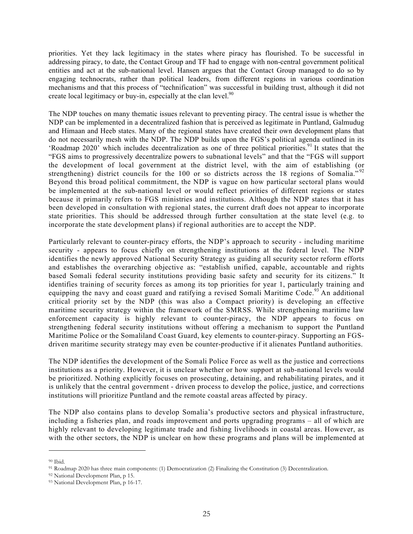priorities. Yet they lack legitimacy in the states where piracy has flourished. To be successful in addressing piracy, to date, the Contact Group and TF had to engage with non-central government political entities and act at the sub-national level. Hansen argues that the Contact Group managed to do so by engaging technocrats, rather than political leaders, from different regions in various coordination mechanisms and that this process of "technification" was successful in building trust, although it did not create local legitimacy or buy-in, especially at the clan level. $90$ 

The NDP touches on many thematic issues relevant to preventing piracy. The central issue is whether the NDP can be implemented in a decentralized fashion that is perceived as legitimate in Puntland, Galmudug and Himaan and Heeb states. Many of the regional states have created their own development plans that do not necessarily mesh with the NDP. The NDP builds upon the FGS's political agenda outlined in its 'Roadmap 2020' which includes decentralization as one of three political priorities.<sup>91</sup> It states that the "FGS aims to progressively decentralize powers to subnational levels" and that the "FGS will support the development of local government at the district level, with the aim of establishing (or strengthening) district councils for the 100 or so districts across the 18 regions of Somalia."<sup>92</sup> Beyond this broad political commitment, the NDP is vague on how particular sectoral plans would be implemented at the sub-national level or would reflect priorities of different regions or states because it primarily refers to FGS ministries and institutions. Although the NDP states that it has been developed in consultation with regional states, the current draft does not appear to incorporate state priorities. This should be addressed through further consultation at the state level (e.g. to incorporate the state development plans) if regional authorities are to accept the NDP.

Particularly relevant to counter-piracy efforts, the NDP's approach to security - including maritime security - appears to focus chiefly on strengthening institutions at the federal level. The NDP identifies the newly approved National Security Strategy as guiding all security sector reform efforts and establishes the overarching objective as: "establish unified, capable, accountable and rights based Somali federal security institutions providing basic safety and security for its citizens." It identifies training of security forces as among its top priorities for year 1, particularly training and equipping the navy and coast guard and ratifying a revised Somali Maritime Code.<sup>93</sup> An additional critical priority set by the NDP (this was also a Compact priority) is developing an effective maritime security strategy within the framework of the SMRSS. While strengthening maritime law enforcement capacity is highly relevant to counter-piracy, the NDP appears to focus on strengthening federal security institutions without offering a mechanism to support the Puntland Maritime Police or the Somaliland Coast Guard, key elements to counter-piracy. Supporting an FGSdriven maritime security strategy may even be counter-productive if it alienates Puntland authorities.

The NDP identifies the development of the Somali Police Force as well as the justice and corrections institutions as a priority. However, it is unclear whether or how support at sub-national levels would be prioritized. Nothing explicitly focuses on prosecuting, detaining, and rehabilitating pirates, and it is unlikely that the central government - driven process to develop the police, justice, and corrections institutions will prioritize Puntland and the remote coastal areas affected by piracy.

The NDP also contains plans to develop Somalia's productive sectors and physical infrastructure, including a fisheries plan, and roads improvement and ports upgrading programs – all of which are highly relevant to developing legitimate trade and fishing livelihoods in coastal areas. However, as with the other sectors, the NDP is unclear on how these programs and plans will be implemented at

<sup>90</sup> Ibid.

<sup>91</sup> Roadmap 2020 has three main components: (1) Democratization (2) Finalizing the Constitution (3) Decentralization.

<sup>92</sup> National Development Plan, p 15.

<sup>93</sup> National Development Plan, p 16-17.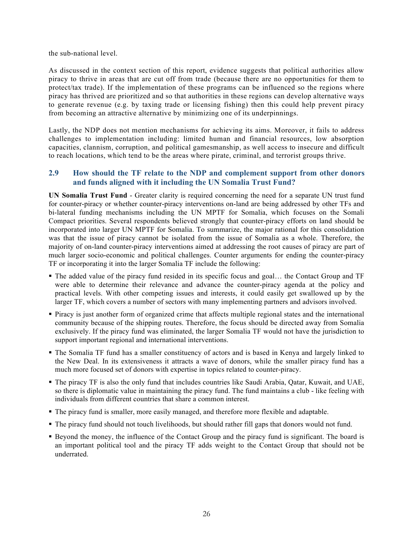the sub-national level.

As discussed in the context section of this report, evidence suggests that political authorities allow piracy to thrive in areas that are cut off from trade (because there are no opportunities for them to protect/tax trade). If the implementation of these programs can be influenced so the regions where piracy has thrived are prioritized and so that authorities in these regions can develop alternative ways to generate revenue (e.g. by taxing trade or licensing fishing) then this could help prevent piracy from becoming an attractive alternative by minimizing one of its underpinnings.

Lastly, the NDP does not mention mechanisms for achieving its aims. Moreover, it fails to address challenges to implementation including: limited human and financial resources, low absorption capacities, clannism, corruption, and political gamesmanship, as well access to insecure and difficult to reach locations, which tend to be the areas where pirate, criminal, and terrorist groups thrive.

### **2.9 How should the TF relate to the NDP and complement support from other donors and funds aligned with it including the UN Somalia Trust Fund?**

**UN Somalia Trust Fund** - Greater clarity is required concerning the need for a separate UN trust fund for counter-piracy or whether counter-piracy interventions on-land are being addressed by other TFs and bi-lateral funding mechanisms including the UN MPTF for Somalia, which focuses on the Somali Compact priorities. Several respondents believed strongly that counter-piracy efforts on land should be incorporated into larger UN MPTF for Somalia. To summarize, the major rational for this consolidation was that the issue of piracy cannot be isolated from the issue of Somalia as a whole. Therefore, the majority of on-land counter-piracy interventions aimed at addressing the root causes of piracy are part of much larger socio-economic and political challenges. Counter arguments for ending the counter-piracy TF or incorporating it into the larger Somalia TF include the following:

- § The added value of the piracy fund resided in its specific focus and goal… the Contact Group and TF were able to determine their relevance and advance the counter-piracy agenda at the policy and practical levels. With other competing issues and interests, it could easily get swallowed up by the larger TF, which covers a number of sectors with many implementing partners and advisors involved.
- Piracy is just another form of organized crime that affects multiple regional states and the international community because of the shipping routes. Therefore, the focus should be directed away from Somalia exclusively. If the piracy fund was eliminated, the larger Somalia TF would not have the jurisdiction to support important regional and international interventions.
- § The Somalia TF fund has a smaller constituency of actors and is based in Kenya and largely linked to the New Deal. In its extensiveness it attracts a wave of donors, while the smaller piracy fund has a much more focused set of donors with expertise in topics related to counter-piracy.
- § The piracy TF is also the only fund that includes countries like Saudi Arabia, Qatar, Kuwait, and UAE, so there is diplomatic value in maintaining the piracy fund. The fund maintains a club - like feeling with individuals from different countries that share a common interest.
- § The piracy fund is smaller, more easily managed, and therefore more flexible and adaptable.
- § The piracy fund should not touch livelihoods, but should rather fill gaps that donors would not fund.
- § Beyond the money, the influence of the Contact Group and the piracy fund is significant. The board is an important political tool and the piracy TF adds weight to the Contact Group that should not be underrated.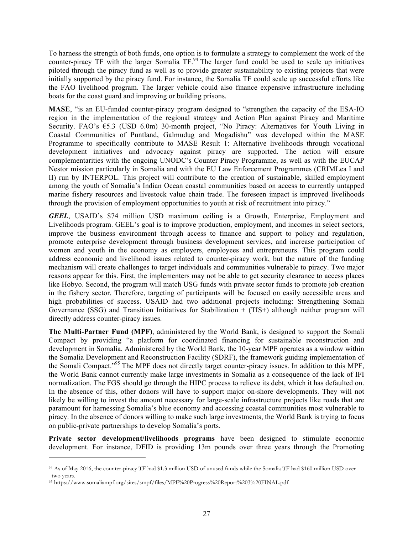To harness the strength of both funds, one option is to formulate a strategy to complement the work of the counter-piracy TF with the larger Somalia TF.<sup>94</sup> The larger fund could be used to scale up initiatives piloted through the piracy fund as well as to provide greater sustainability to existing projects that were initially supported by the piracy fund. For instance, the Somalia TF could scale up successful efforts like the FAO livelihood program. The larger vehicle could also finance expensive infrastructure including boats for the coast guard and improving or building prisons.

**MASE**, "is an EU-funded counter-piracy program designed to "strengthen the capacity of the ESA-IO region in the implementation of the regional strategy and Action Plan against Piracy and Maritime Security. FAO's €5.3 (USD 6.0m) 30-month project, "No Piracy: Alternatives for Youth Living in Coastal Communities of Puntland, Galmudug and Mogadishu" was developed within the MASE Programme to specifically contribute to MASE Result 1: Alternative livelihoods through vocational development initiatives and advocacy against piracy are supported. The action will ensure complementarities with the ongoing UNODC's Counter Piracy Programme, as well as with the EUCAP Nestor mission particularly in Somalia and with the EU Law Enforcement Programmes (CRIMLea I and II) run by INTERPOL. This project will contribute to the creation of sustainable, skilled employment among the youth of Somalia's Indian Ocean coastal communities based on access to currently untapped marine fishery resources and livestock value chain trade. The foreseen impact is improved livelihoods through the provision of employment opportunities to youth at risk of recruitment into piracy."

*GEEL*, USAID's \$74 million USD maximum ceiling is a Growth, Enterprise, Employment and Livelihoods program. GEEL's goal is to improve production, employment, and incomes in select sectors, improve the business environment through access to finance and support to policy and regulation, promote enterprise development through business development services, and increase participation of women and youth in the economy as employers, employees and entrepreneurs. This program could address economic and livelihood issues related to counter-piracy work, but the nature of the funding mechanism will create challenges to target individuals and communities vulnerable to piracy. Two major reasons appear for this. First, the implementers may not be able to get security clearance to access places like Hobyo. Second, the program will match USG funds with private sector funds to promote job creation in the fishery sector. Therefore, targeting of participants will be focused on easily accessible areas and high probabilities of success. USAID had two additional projects including: Strengthening Somali Governance (SSG) and Transition Initiatives for Stabilization + (TIS+) although neither program will directly address counter-piracy issues.

**The Multi-Partner Fund (MPF)**, administered by the World Bank, is designed to support the Somali Compact by providing "a platform for coordinated financing for sustainable reconstruction and development in Somalia. Administered by the World Bank, the 10-year MPF operates as a window within the Somalia Development and Reconstruction Facility (SDRF), the framework guiding implementation of the Somali Compact."<sup>95</sup> The MPF does not directly target counter-piracy issues. In addition to this MPF, the World Bank cannot currently make large investments in Somalia as a consequence of the lack of IFI normalization. The FGS should go through the HIPC process to relieve its debt, which it has defaulted on. In the absence of this, other donors will have to support major on-shore developments. They will not likely be willing to invest the amount necessary for large-scale infrastructure projects like roads that are paramount for harnessing Somalia's blue economy and accessing coastal communities most vulnerable to piracy. In the absence of donors willing to make such large investments, the World Bank is trying to focus on public-private partnerships to develop Somalia's ports.

**Private sector development/livelihoods programs** have been designed to stimulate economic development. For instance, DFID is providing 13m pounds over three years through the Promoting

<sup>94</sup> As of May 2016, the counter-piracy TF had \$1.3 million USD of unused funds while the Somalia TF had \$160 million USD over two years.

<sup>95</sup> https://www.somaliampf.org/sites/smpf/files/MPF%20Progress%20Report%203%20FINAL.pdf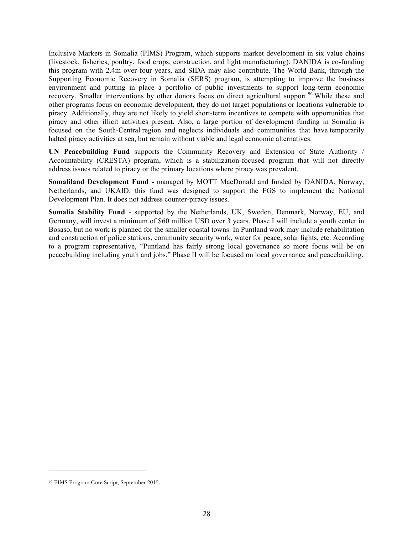Inclusive Markets in Somalia (PIMS) Program, which supports market development in six value chains (livestock, fisheries, poultry, food crops, construction, and light manufacturing). DANIDA is co-funding this program with 2.4m over four years, and SIDA may also contribute. The World Bank, through the Supporting Economic Recovery in Somalia (SERS) program, is attempting to improve the business environment and putting in place a portfolio of public investments to support long-term economic recovery. Smaller interventions by other donors focus on direct agricultural support.<sup>96</sup> While these and other programs focus on economic development, they do not target populations or locations vulnerable to piracy. Additionally, they are not likely to yield short-term incentives to compete with opportunities that piracy and other illicit activities present. Also, a large portion of development funding in Somalia is focused on the South-Central region and neglects individuals and communities that have temporarily halted piracy activities at sea, but remain without viable and legal economic alternatives.

**UN Peacebuilding Fund** supports the Community Recovery and Extension of State Authority / Accountability (CRESTA) program, which is a stabilization-focused program that will not directly address issues related to piracy or the primary locations where piracy was prevalent.

**Somaliland Development Fund** *-* managed by MOTT MacDonald and funded by DANIDA, Norway, Netherlands, and UKAID, this fund was designed to support the FGS to implement the National Development Plan. It does not address counter-piracy issues.

**Somalia Stability Fund** - supported by the Netherlands, UK, Sweden, Denmark, Norway, EU, and Germany, will invest a minimum of \$60 million USD over 3 years. Phase I will include a youth center in Bosaso, but no work is planned for the smaller coastal towns. In Puntland work may include rehabilitation and construction of police stations, community security work, water for peace, solar lights, etc. According to a program representative, "Puntland has fairly strong local governance so more focus will be on peacebuilding including youth and jobs." Phase II will be focused on local governance and peacebuilding.

<sup>96</sup> PIMS Program Core Script, September 2015.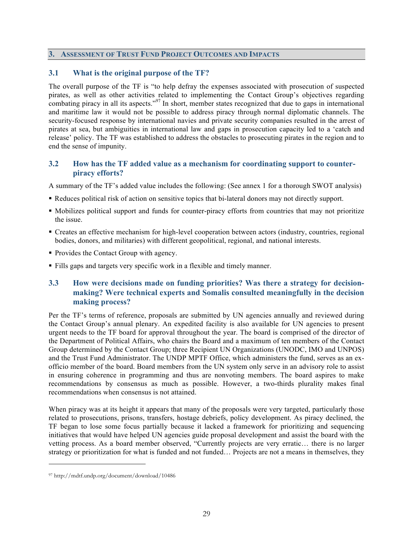### **3. ASSESSMENT OF TRUST FUND PROJECT OUTCOMES AND IMPACTS**

### **3.1 What is the original purpose of the TF?**

The overall purpose of the TF is "to help defray the expenses associated with prosecution of suspected pirates, as well as other activities related to implementing the Contact Group's objectives regarding combating piracy in all its aspects."<sup>97</sup> In short, member states recognized that due to gaps in international and maritime law it would not be possible to address piracy through normal diplomatic channels. The security-focused response by international navies and private security companies resulted in the arrest of pirates at sea, but ambiguities in international law and gaps in prosecution capacity led to a 'catch and release' policy. The TF was established to address the obstacles to prosecuting pirates in the region and to end the sense of impunity.

### **3.2 How has the TF added value as a mechanism for coordinating support to counterpiracy efforts?**

A summary of the TF's added value includes the following: (See annex 1 for a thorough SWOT analysis)

- § Reduces political risk of action on sensitive topics that bi-lateral donors may not directly support.
- § Mobilizes political support and funds for counter-piracy efforts from countries that may not prioritize the issue.
- § Creates an effective mechanism for high-level cooperation between actors (industry, countries, regional bodies, donors, and militaries) with different geopolitical, regional, and national interests.
- § Provides the Contact Group with agency.
- § Fills gaps and targets very specific work in a flexible and timely manner.

# **3.3 How were decisions made on funding priorities? Was there a strategy for decisionmaking? Were technical experts and Somalis consulted meaningfully in the decision making process?**

Per the TF's terms of reference, proposals are submitted by UN agencies annually and reviewed during the Contact Group's annual plenary. An expedited facility is also available for UN agencies to present urgent needs to the TF board for approval throughout the year. The board is comprised of the director of the Department of Political Affairs, who chairs the Board and a maximum of ten members of the Contact Group determined by the Contact Group; three Recipient UN Organizations (UNODC, IMO and UNPOS) and the Trust Fund Administrator. The UNDP MPTF Office, which administers the fund, serves as an exofficio member of the board. Board members from the UN system only serve in an advisory role to assist in ensuring coherence in programming and thus are nonvoting members. The board aspires to make recommendations by consensus as much as possible. However, a two-thirds plurality makes final recommendations when consensus is not attained.

When piracy was at its height it appears that many of the proposals were very targeted, particularly those related to prosecutions, prisons, transfers, hostage debriefs, policy development. As piracy declined, the TF began to lose some focus partially because it lacked a framework for prioritizing and sequencing initiatives that would have helped UN agencies guide proposal development and assist the board with the vetting process. As a board member observed, "Currently projects are very erratic… there is no larger strategy or prioritization for what is funded and not funded… Projects are not a means in themselves, they

<sup>97</sup> http://mdtf.undp.org/document/download/10486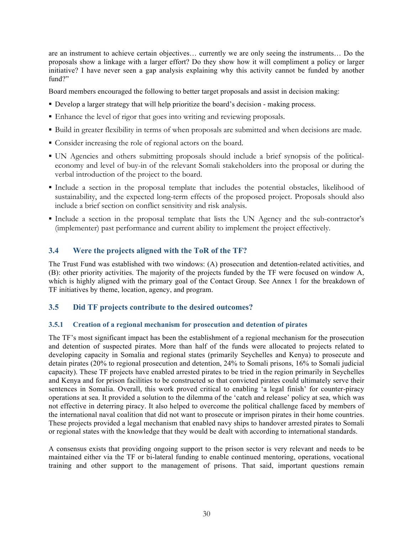are an instrument to achieve certain objectives… currently we are only seeing the instruments… Do the proposals show a linkage with a larger effort? Do they show how it will compliment a policy or larger initiative? I have never seen a gap analysis explaining why this activity cannot be funded by another fund?"

Board members encouraged the following to better target proposals and assist in decision making:

- § Develop a larger strategy that will help prioritize the board's decision making process.
- § Enhance the level of rigor that goes into writing and reviewing proposals.
- § Build in greater flexibility in terms of when proposals are submitted and when decisions are made.
- § Consider increasing the role of regional actors on the board.
- § UN Agencies and others submitting proposals should include a brief synopsis of the politicaleconomy and level of buy-in of the relevant Somali stakeholders into the proposal or during the verbal introduction of the project to the board.
- § Include a section in the proposal template that includes the potential obstacles, likelihood of sustainability, and the expected long-term effects of the proposed project. Proposals should also include a brief section on conflict sensitivity and risk analysis.
- § Include a section in the proposal template that lists the UN Agency and the sub-contractor's (implementer) past performance and current ability to implement the project effectively.

# **3.4 Were the projects aligned with the ToR of the TF?**

The Trust Fund was established with two windows: (A) prosecution and detention-related activities, and (B): other priority activities. The majority of the projects funded by the TF were focused on window A, which is highly aligned with the primary goal of the Contact Group. See Annex 1 for the breakdown of TF initiatives by theme, location, agency, and program.

### **3.5 Did TF projects contribute to the desired outcomes?**

#### **3.5.1 Creation of a regional mechanism for prosecution and detention of pirates**

The TF's most significant impact has been the establishment of a regional mechanism for the prosecution and detention of suspected pirates. More than half of the funds were allocated to projects related to developing capacity in Somalia and regional states (primarily Seychelles and Kenya) to prosecute and detain pirates (20% to regional prosecution and detention, 24% to Somali prisons, 16% to Somali judicial capacity). These TF projects have enabled arrested pirates to be tried in the region primarily in Seychelles and Kenya and for prison facilities to be constructed so that convicted pirates could ultimately serve their sentences in Somalia. Overall, this work proved critical to enabling 'a legal finish' for counter-piracy operations at sea. It provided a solution to the dilemma of the 'catch and release' policy at sea, which was not effective in deterring piracy. It also helped to overcome the political challenge faced by members of the international naval coalition that did not want to prosecute or imprison pirates in their home countries. These projects provided a legal mechanism that enabled navy ships to handover arrested pirates to Somali or regional states with the knowledge that they would be dealt with according to international standards.

A consensus exists that providing ongoing support to the prison sector is very relevant and needs to be maintained either via the TF or bi-lateral funding to enable continued mentoring, operations, vocational training and other support to the management of prisons. That said, important questions remain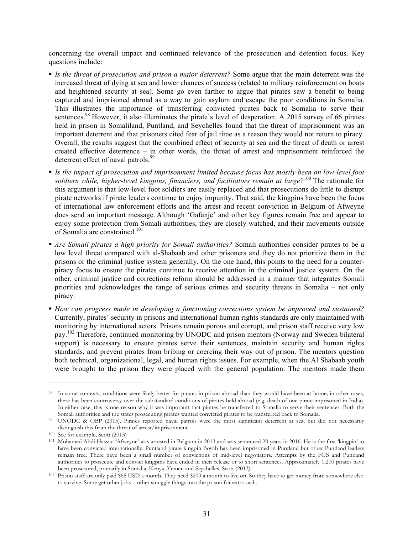concerning the overall impact and continued relevance of the prosecution and detention focus. Key questions include:

- § *Is the threat of prosecution and prison a major deterrent?* Some argue that the main deterrent was the increased threat of dying at sea and lower chances of success (related to military reinforcement on boats and heightened security at sea). Some go even farther to argue that pirates saw a benefit to being captured and imprisoned abroad as a way to gain asylum and escape the poor conditions in Somalia. This illustrates the importance of transferring convicted pirates back to Somalia to serve their sentences.<sup>98</sup> However, it also illuminates the pirate's level of desperation. A 2015 survey of 66 pirates held in prison in Somaliland, Puntland, and Seychelles found that the threat of imprisonment was an important deterrent and that prisoners cited fear of jail time as a reason they would not return to piracy. Overall, the results suggest that the combined effect of security at sea and the threat of death or arrest created effective deterrence – in other words, the threat of arrest and imprisonment reinforced the deterrent effect of naval patrols.<sup>99</sup>
- § *Is the impact of prosecution and imprisonment limited because focus has mostly been on low-level foot soldiers while, higher-level kingpins, financiers, and facilitators remain at large?*<sup>100</sup> The rationale for this argument is that low-level foot soldiers are easily replaced and that prosecutions do little to disrupt pirate networks if pirate leaders continue to enjoy impunity. That said, the kingpins have been the focus of international law enforcement efforts and the arrest and recent conviction in Belgium of Afweyne does send an important message. Although 'Gafanje' and other key figures remain free and appear to enjoy some protection from Somali authorities, they are closely watched, and their movements outside of Somalia are constrained.<sup>101</sup>
- § *Are Somali pirates a high priority for Somali authorities?* Somali authorities consider pirates to be a low level threat compared with al-Shabaab and other prisoners and they do not prioritize them in the prisons or the criminal justice system generally. On the one hand, this points to the need for a counterpiracy focus to ensure the pirates continue to receive attention in the criminal justice system. On the other, criminal justice and corrections reform should be addressed in a manner that integrates Somali priorities and acknowledges the range of serious crimes and security threats in Somalia – not only piracy.
- § *How can progress made in developing a functioning corrections system be improved and sustained?* Currently, pirates' security in prisons and international human rights standards are only maintained with monitoring by international actors. Prisons remain porous and corrupt, and prison staff receive very low pay.<sup>102</sup> Therefore, continued monitoring by UNODC and prison mentors (Norway and Sweden bilateral support) is necessary to ensure pirates serve their sentences, maintain security and human rights standards, and prevent pirates from bribing or coercing their way out of prison. The mentors question both technical, organizational, legal, and human rights issues. For example, when the Al Shabaab youth were brought to the prison they were placed with the general population. The mentors made them

<sup>98</sup> In some contexts, conditions were likely better for pirates in prison abroad than they would have been at home; in other cases, there has been controversy over the substandard conditions of pirates held abroad (e.g. death of one pirate imprisoned in India). In either case, this is one reason why it was important that pirates be transferred to Somalia to serve their sentences. Both the

Somali authorities and the states prosecuting pirates wanted convicted pirates to be transferred back to Somalia.<br><sup>99</sup> UNODC & OBP (2015). Pirates reported naval patrols were the most significant deterrent at sea, but did distinguish this from the threat of arrest/imprisonment.

<sup>100</sup> See for example, Scott (2013)

<sup>101</sup> Mohamed Abdi Hassan 'Afweyne' was arrested in Belgium in 2013 and was sentenced 20 years in 2016. He is the first 'kingpin' to have been convicted internationally. Puntland pirate kingpin Boyah has been imprisoned in Puntland but other Puntland leaders remain free. There have been a small number of convictions of mid-level negotiators. Attempts by the FGS and Puntland authorities to prosecute and convict kingpins have ended in their release or to short sentences. Approximately 1,200 pirates have been prosecuted, primarily in Somalia, Kenya, Yemen and Seychelles. Scott (2013).

<sup>102</sup> Prison staff are only paid \$65 USD a month. They need \$200 a month to live on. So they have to get money from somewhere else to survive. Some get other jobs – other smuggle things into the prison for extra cash.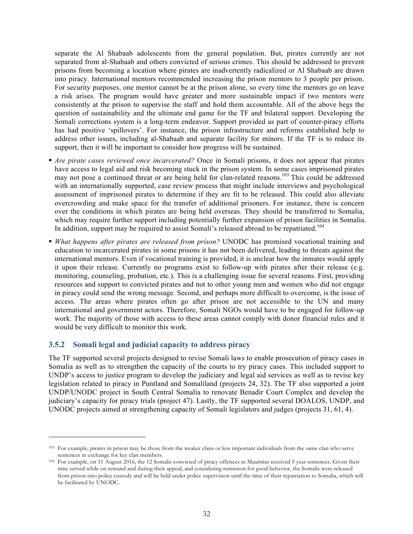separate the Al Shabaab adolescents from the general population. But, pirates currently are not separated from al-Shabaab and others convicted of serious crimes. This should be addressed to prevent prisons from becoming a location where pirates are inadvertently radicalized or Al Shabaab are drawn into piracy. International mentors recommended increasing the prison mentors to 3 people per prison. For security purposes, one mentor cannot be at the prison alone, so every time the mentors go on leave a risk arises. The program would have greater and more sustainable impact if two mentors were consistently at the prison to supervise the staff and hold them accountable. All of the above begs the question of sustainability and the ultimate end game for the TF and bilateral support. Developing the Somali corrections system is a long-term endeavor. Support provided as part of counter-piracy efforts has had positive 'spillovers'. For instance, the prison infrastructure and reforms established help to address other issues, including al-Shabaab and separate facility for minors. If the TF is to reduce its support, then it will be important to consider how progress will be sustained.

- *Are pirate cases reviewed once incarcerated?* Once in Somali prisons, it does not appear that pirates have access to legal aid and risk becoming stuck in the prison system. In some cases imprisoned pirates may not pose a continued threat or are being held for clan-related reasons.<sup>103</sup> This could be addressed with an internationally supported, case review process that might include interviews and psychological assessment of imprisoned pirates to determine if they are fit to be released. This could also alleviate overcrowding and make space for the transfer of additional prisoners. For instance, there is concern over the conditions in which pirates are being held overseas. They should be transferred to Somalia, which may require further support including potentially further expansion of prison facilities in Somalia. In addition, support may be required to assist Somali's released abroad to be repatriated.<sup>104</sup>
- § *What happens after pirates are released from prison?* UNODC has promised vocational training and education to incarcerated pirates in some prisons it has not been delivered, leading to threats against the international mentors. Even if vocational training is provided, it is unclear how the inmates would apply it upon their release. Currently no programs exist to follow-up with pirates after their release (e.g. monitoring, counseling, probation, etc.). This is a challenging issue for several reasons. First, providing resources and support to convicted pirates and not to other young men and women who did not engage in piracy could send the wrong message. Second, and perhaps more difficult to overcome, is the issue of access. The areas where pirates often go after prison are not accessible to the UN and many international and government actors. Therefore, Somali NGOs would have to be engaged for follow-up work. The majority of those with access to these areas cannot comply with donor financial rules and it would be very difficult to monitor this work.

### **3.5.2 Somali legal and judicial capacity to address piracy**

 $\overline{a}$ 

The TF supported several projects designed to revise Somali laws to enable prosecution of piracy cases in Somalia as well as to strengthen the capacity of the courts to try piracy cases. This included support to UNDP's access to justice program to develop the judiciary and legal aid services as well as to revise key legislation related to piracy in Puntland and Somaliland (projects 24, 32). The TF also supported a joint UNDP/UNODC project in South Central Somalia to renovate Benadir Court Complex and develop the judiciary's capacity for piracy trials (project 47). Lastly, the TF supported several DOALOS, UNDP, and UNODC projects aimed at strengthening capacity of Somali legislators and judges (projects 31, 61, 4).

<sup>103</sup> For example, pirates in prison may be those from the weaker clans or less important individuals from the same clan who serve sentences in exchange for key clan members.

<sup>104</sup> For example, on 11 August 2016, the 12 Somalis convicted of piracy offences in Mauritius received 5 year sentences. Given their time served while on remand and during their appeal, and considering remission for good behavior, the Somalis were released from prison into police custody and will be held under police supervision until the time of their repatriation to Somalia, which will be facilitated by UNODC.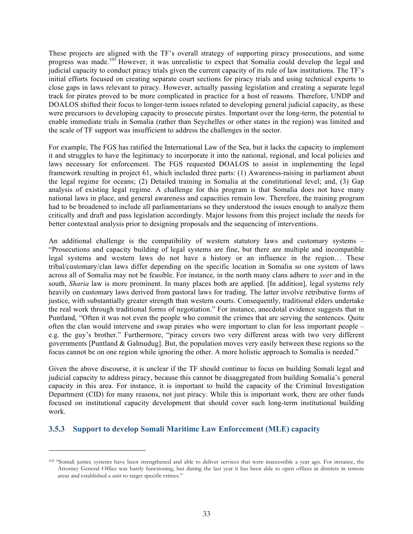These projects are aligned with the TF's overall strategy of supporting piracy prosecutions, and some progress was made.<sup>105</sup> However, it was unrealistic to expect that Somalia could develop the legal and judicial capacity to conduct piracy trials given the current capacity of its rule of law institutions. The TF's initial efforts focused on creating separate court sections for piracy trials and using technical experts to close gaps in laws relevant to piracy. However, actually passing legislation and creating a separate legal track for pirates proved to be more complicated in practice for a host of reasons. Therefore, UNDP and DOALOS shifted their focus to longer-term issues related to developing general judicial capacity, as these were precursors to developing capacity to prosecute pirates. Important over the long-term, the potential to enable immediate trials in Somalia (rather than Seychelles or other states in the region) was limited and the scale of TF support was insufficient to address the challenges in the sector.

For example, The FGS has ratified the International Law of the Sea, but it lacks the capacity to implement it and struggles to have the legitimacy to incorporate it into the national, regional, and local policies and laws necessary for enforcement. The FGS requested DOALOS to assist in implementing the legal framework resulting in project 61, which included three parts: (1) Awareness-raising in parliament about the legal regime for oceans; (2) Detailed training in Somalia at the constitutional level; and, (3) Gap analysis of existing legal regime. A challenge for this program is that Somalia does not have many national laws in place, and general awareness and capacities remain low. Therefore, the training program had to be broadened to include all parliamentarians so they understood the issues enough to analyze them critically and draft and pass legislation accordingly. Major lessons from this project include the needs for better contextual analysis prior to designing proposals and the sequencing of interventions.

An additional challenge is the compatibility of western statutory laws and customary systems – "Prosecutions and capacity building of legal systems are fine, but there are multiple and incompatible legal systems and western laws do not have a history or an influence in the region… These tribal/customary/clan laws differ depending on the specific location in Somalia so one system of laws across all of Somalia may not be feasible. For instance, in the north many clans adhere to *xeer* and in the south, *Sharia* law is more prominent. In many places both are applied. [In addition], legal systems rely heavily on customary laws derived from pastoral laws for trading. The latter involve retributive forms of justice, with substantially greater strength than western courts. Consequently, traditional elders undertake the real work through traditional forms of negotiation." For instance, anecdotal evidence suggests that in Puntland, "Often it was not even the people who commit the crimes that are serving the sentences. Quite often the clan would intervene and swap pirates who were important to clan for less important people – e.g. the guy's brother." Furthermore, "piracy covers two very different areas with two very different governments [Puntland  $\&$  Galmudug]. But, the population moves very easily between these regions so the focus cannot be on one region while ignoring the other. A more holistic approach to Somalia is needed."

Given the above discourse, it is unclear if the TF should continue to focus on building Somali legal and judicial capacity to address piracy, because this cannot be disaggregated from building Somalia's general capacity in this area. For instance, it is important to build the capacity of the Criminal Investigation Department (CID) for many reasons, not just piracy. While this is important work, there are other funds focused on institutional capacity development that should cover such long-term institutional building work.

# **3.5.3 Support to develop Somali Maritime Law Enforcement (MLE) capacity**

<sup>105</sup> "Somali justice systems have been strengthened and able to deliver services that were inaccessible a year ago. For instance, the Attorney General Office was barely functioning, but during the last year it has been able to open offices in districts in remote areas and established a unit to target specific crimes."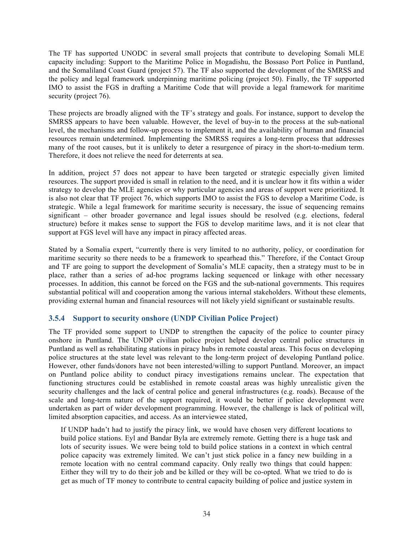The TF has supported UNODC in several small projects that contribute to developing Somali MLE capacity including: Support to the Maritime Police in Mogadishu, the Bossaso Port Police in Puntland, and the Somaliland Coast Guard (project 57). The TF also supported the development of the SMRSS and the policy and legal framework underpinning maritime policing (project 50). Finally, the TF supported IMO to assist the FGS in drafting a Maritime Code that will provide a legal framework for maritime security (project 76).

These projects are broadly aligned with the TF's strategy and goals. For instance, support to develop the SMRSS appears to have been valuable. However, the level of buy-in to the process at the sub-national level, the mechanisms and follow-up process to implement it, and the availability of human and financial resources remain undetermined. Implementing the SMRSS requires a long-term process that addresses many of the root causes, but it is unlikely to deter a resurgence of piracy in the short-to-medium term. Therefore, it does not relieve the need for deterrents at sea.

In addition, project 57 does not appear to have been targeted or strategic especially given limited resources. The support provided is small in relation to the need, and it is unclear how it fits within a wider strategy to develop the MLE agencies or why particular agencies and areas of support were prioritized. It is also not clear that TF project 76, which supports IMO to assist the FGS to develop a Maritime Code, is strategic. While a legal framework for maritime security is necessary, the issue of sequencing remains significant – other broader governance and legal issues should be resolved (e.g. elections, federal structure) before it makes sense to support the FGS to develop maritime laws, and it is not clear that support at FGS level will have any impact in piracy affected areas.

Stated by a Somalia expert, "currently there is very limited to no authority, policy, or coordination for maritime security so there needs to be a framework to spearhead this." Therefore, if the Contact Group and TF are going to support the development of Somalia's MLE capacity, then a strategy must to be in place, rather than a series of ad-hoc programs lacking sequenced or linkage with other necessary processes. In addition, this cannot be forced on the FGS and the sub-national governments. This requires substantial political will and cooperation among the various internal stakeholders. Without these elements, providing external human and financial resources will not likely yield significant or sustainable results.

### **3.5.4 Support to security onshore (UNDP Civilian Police Project)**

The TF provided some support to UNDP to strengthen the capacity of the police to counter piracy onshore in Puntland. The UNDP civilian police project helped develop central police structures in Puntland as well as rehabilitating stations in piracy hubs in remote coastal areas. This focus on developing police structures at the state level was relevant to the long-term project of developing Puntland police. However, other funds/donors have not been interested/willing to support Puntland. Moreover, an impact on Puntland police ability to conduct piracy investigations remains unclear. The expectation that functioning structures could be established in remote coastal areas was highly unrealistic given the security challenges and the lack of central police and general infrastructures (e.g. roads). Because of the scale and long-term nature of the support required, it would be better if police development were undertaken as part of wider development programming. However, the challenge is lack of political will, limited absorption capacities, and access. As an interviewee stated,

If UNDP hadn't had to justify the piracy link, we would have chosen very different locations to build police stations. Eyl and Bandar Byla are extremely remote. Getting there is a huge task and lots of security issues. We were being told to build police stations in a context in which central police capacity was extremely limited. We can't just stick police in a fancy new building in a remote location with no central command capacity. Only really two things that could happen: Either they will try to do their job and be killed or they will be co-opted. What we tried to do is get as much of TF money to contribute to central capacity building of police and justice system in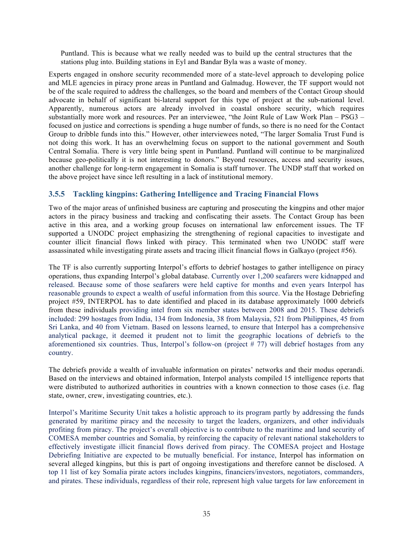Puntland. This is because what we really needed was to build up the central structures that the stations plug into. Building stations in Eyl and Bandar Byla was a waste of money.

Experts engaged in onshore security recommended more of a state-level approach to developing police and MLE agencies in piracy prone areas in Puntland and Galmadug. However, the TF support would not be of the scale required to address the challenges, so the board and members of the Contact Group should advocate in behalf of significant bi-lateral support for this type of project at the sub-national level. Apparently, numerous actors are already involved in coastal onshore security, which requires substantially more work and resources. Per an interviewee, "the Joint Rule of Law Work Plan – PSG3 – focused on justice and corrections is spending a huge number of funds, so there is no need for the Contact Group to dribble funds into this." However, other interviewees noted, "The larger Somalia Trust Fund is not doing this work. It has an overwhelming focus on support to the national government and South Central Somalia. There is very little being spent in Puntland. Puntland will continue to be marginalized because geo-politically it is not interesting to donors." Beyond resources, access and security issues, another challenge for long-term engagement in Somalia is staff turnover. The UNDP staff that worked on the above project have since left resulting in a lack of institutional memory.

### **3.5.5 Tackling kingpins: Gathering Intelligence and Tracing Financial Flows**

Two of the major areas of unfinished business are capturing and prosecuting the kingpins and other major actors in the piracy business and tracking and confiscating their assets. The Contact Group has been active in this area, and a working group focuses on international law enforcement issues. The TF supported a UNODC project emphasizing the strengthening of regional capacities to investigate and counter illicit financial flows linked with piracy. This terminated when two UNODC staff were assassinated while investigating pirate assets and tracing illicit financial flows in Galkayo (project #56).

The TF is also currently supporting Interpol's efforts to debrief hostages to gather intelligence on piracy operations, thus expanding Interpol's global database. Currently over 1,200 seafarers were kidnapped and released. Because some of those seafarers were held captive for months and even years Interpol has reasonable grounds to expect a wealth of useful information from this source. Via the Hostage Debriefing project #59, INTERPOL has to date identified and placed in its database approximately 1000 debriefs from these individuals providing intel from six member states between 2008 and 2015. These debriefs included: 299 hostages from India, 134 from Indonesia, 38 from Malaysia, 521 from Philippines, 45 from Sri Lanka, and 40 from Vietnam. Based on lessons learned, to ensure that Interpol has a comprehensive analytical package, it deemed it prudent not to limit the geographic locations of debriefs to the aforementioned six countries. Thus, Interpol's follow-on (project # 77) will debrief hostages from any country.

The debriefs provide a wealth of invaluable information on pirates' networks and their modus operandi. Based on the interviews and obtained information, Interpol analysts compiled 15 intelligence reports that were distributed to authorized authorities in countries with a known connection to those cases (i.e. flag state, owner, crew, investigating countries, etc.).

Interpol's Maritime Security Unit takes a holistic approach to its program partly by addressing the funds generated by maritime piracy and the necessity to target the leaders, organizers, and other individuals profiting from piracy. The project's overall objective is to contribute to the maritime and land security of COMESA member countries and Somalia, by reinforcing the capacity of relevant national stakeholders to effectively investigate illicit financial flows derived from piracy. The COMESA project and Hostage Debriefing Initiative are expected to be mutually beneficial. For instance, Interpol has information on several alleged kingpins, but this is part of ongoing investigations and therefore cannot be disclosed. A top 11 list of key Somalia pirate actors includes kingpins, financiers/investors, negotiators, commanders, and pirates. These individuals, regardless of their role, represent high value targets for law enforcement in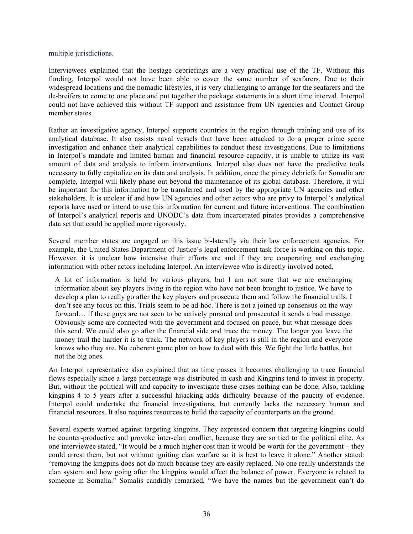#### multiple jurisdictions.

Interviewees explained that the hostage debriefings are a very practical use of the TF. Without this funding, Interpol would not have been able to cover the same number of seafarers. Due to their widespread locations and the nomadic lifestyles, it is very challenging to arrange for the seafarers and the de-breifers to come to one place and put together the package statements in a short time interval. Interpol could not have achieved this without TF support and assistance from UN agencies and Contact Group member states.

Rather an investigative agency, Interpol supports countries in the region through training and use of its analytical database. It also assists naval vessels that have been attacked to do a proper crime scene investigation and enhance their analytical capabilities to conduct these investigations. Due to limitations in Interpol's mandate and limited human and financial resource capacity, it is unable to utilize its vast amount of data and analysis to inform interventions. Interpol also does not have the predictive tools necessary to fully capitalize on its data and analysis. In addition, once the piracy debriefs for Somalia are complete, Interpol will likely phase out beyond the maintenance of its global database. Therefore, it will be important for this information to be transferred and used by the appropriate UN agencies and other stakeholders. It is unclear if and how UN agencies and other actors who are privy to Interpol's analytical reports have used or intend to use this information for current and future interventions. The combination of Interpol's analytical reports and UNODC's data from incarcerated pirates provides a comprehensive data set that could be applied more rigorously.

Several member states are engaged on this issue bi-laterally via their law enforcement agencies. For example, the United States Department of Justice's legal enforcement task force is working on this topic. However, it is unclear how intensive their efforts are and if they are cooperating and exchanging information with other actors including Interpol. An interviewee who is directly involved noted,

A lot of information is held by various players, but I am not sure that we are exchanging information about key players living in the region who have not been brought to justice. We have to develop a plan to really go after the key players and prosecute them and follow the financial trails. I don't see any focus on this. Trials seem to be ad-hoc. There is not a joined up consensus on the way forward... if these guys are not seen to be actively pursued and prosecuted it sends a bad message. Obviously some are connected with the government and focused on peace, but what message does this send. We could also go after the financial side and trace the money. The longer you leave the money trail the harder it is to track. The network of key players is still in the region and everyone knows who they are. No coherent game plan on how to deal with this. We fight the little battles, but not the big ones.

An Interpol representative also explained that as time passes it becomes challenging to trace financial flows especially since a large percentage was distributed in cash and Kingpins tend to invest in property. But, without the political will and capacity to investigate these cases nothing can be done. Also, tackling kingpins 4 to 5 years after a successful hijacking adds difficulty because of the paucity of evidence. Interpol could undertake the financial investigations, but currently lacks the necessary human and financial resources. It also requires resources to build the capacity of counterparts on the ground.

Several experts warned against targeting kingpins. They expressed concern that targeting kingpins could be counter-productive and provoke inter-clan conflict, because they are so tied to the political elite. As one interviewee stated, "It would be a much higher cost than it would be worth for the government – they could arrest them, but not without igniting clan warfare so it is best to leave it alone." Another stated: "removing the kingpins does not do much because they are easily replaced. No one really understands the clan system and how going after the kingpins would affect the balance of power. Everyone is related to someone in Somalia." Somalis candidly remarked, "We have the names but the government can't do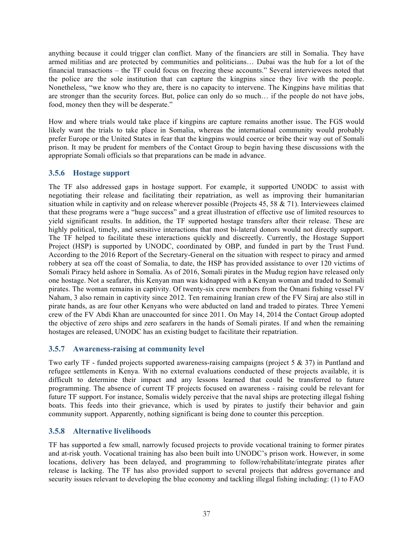anything because it could trigger clan conflict. Many of the financiers are still in Somalia. They have armed militias and are protected by communities and politicians… Dubai was the hub for a lot of the financial transactions – the TF could focus on freezing these accounts." Several interviewees noted that the police are the sole institution that can capture the kingpins since they live with the people. Nonetheless, "we know who they are, there is no capacity to intervene. The Kingpins have militias that are stronger than the security forces. But, police can only do so much… if the people do not have jobs, food, money then they will be desperate."

How and where trials would take place if kingpins are capture remains another issue. The FGS would likely want the trials to take place in Somalia, whereas the international community would probably prefer Europe or the United States in fear that the kingpins would coerce or bribe their way out of Somali prison. It may be prudent for members of the Contact Group to begin having these discussions with the appropriate Somali officials so that preparations can be made in advance.

# **3.5.6 Hostage support**

The TF also addressed gaps in hostage support. For example, it supported UNODC to assist with negotiating their release and facilitating their repatriation, as well as improving their humanitarian situation while in captivity and on release wherever possible (Projects 45, 58  $\&$  71). Interviewees claimed that these programs were a "huge success" and a great illustration of effective use of limited resources to yield significant results. In addition, the TF supported hostage transfers after their release. These are highly political, timely, and sensitive interactions that most bi-lateral donors would not directly support. The TF helped to facilitate these interactions quickly and discreetly. Currently, the Hostage Support Project (HSP) is supported by UNODC, coordinated by OBP, and funded in part by the Trust Fund. According to the 2016 Report of the Secretary-General on the situation with respect to piracy and armed robbery at sea off the coast of Somalia, to date, the HSP has provided assistance to over 120 victims of Somali Piracy held ashore in Somalia. As of 2016, Somali pirates in the Mudug region have released only one hostage. Not a seafarer, this Kenyan man was kidnapped with a Kenyan woman and traded to Somali pirates. The woman remains in captivity. Of twenty-six crew members from the Omani fishing vessel FV Naham, 3 also remain in captivity since 2012. Ten remaining Iranian crew of the FV Siraj are also still in pirate hands, as are four other Kenyans who were abducted on land and traded to pirates. Three Yemeni crew of the FV Abdi Khan are unaccounted for since 2011. On May 14, 2014 the Contact Group adopted the objective of zero ships and zero seafarers in the hands of Somali pirates. If and when the remaining hostages are released, UNODC has an existing budget to facilitate their repatriation.

### **3.5.7 Awareness-raising at community level**

Two early TF - funded projects supported awareness-raising campaigns (project  $5 \& 37$ ) in Puntland and refugee settlements in Kenya. With no external evaluations conducted of these projects available, it is difficult to determine their impact and any lessons learned that could be transferred to future programming. The absence of current TF projects focused on awareness - raising could be relevant for future TF support. For instance, Somalis widely perceive that the naval ships are protecting illegal fishing boats. This feeds into their grievance, which is used by pirates to justify their behavior and gain community support. Apparently, nothing significant is being done to counter this perception.

### **3.5.8 Alternative livelihoods**

TF has supported a few small, narrowly focused projects to provide vocational training to former pirates and at-risk youth. Vocational training has also been built into UNODC's prison work. However, in some locations, delivery has been delayed, and programming to follow/rehabilitate/integrate pirates after release is lacking. The TF has also provided support to several projects that address governance and security issues relevant to developing the blue economy and tackling illegal fishing including: (1) to FAO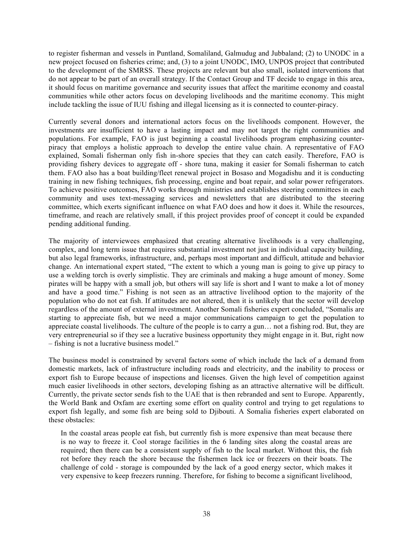to register fisherman and vessels in Puntland, Somaliland, Galmudug and Jubbaland; (2) to UNODC in a new project focused on fisheries crime; and, (3) to a joint UNODC, IMO, UNPOS project that contributed to the development of the SMRSS. These projects are relevant but also small, isolated interventions that do not appear to be part of an overall strategy. If the Contact Group and TF decide to engage in this area, it should focus on maritime governance and security issues that affect the maritime economy and coastal communities while other actors focus on developing livelihoods and the maritime economy. This might include tackling the issue of IUU fishing and illegal licensing as it is connected to counter-piracy.

Currently several donors and international actors focus on the livelihoods component. However, the investments are insufficient to have a lasting impact and may not target the right communities and populations. For example, FAO is just beginning a coastal livelihoods program emphasizing counterpiracy that employs a holistic approach to develop the entire value chain. A representative of FAO explained, Somali fisherman only fish in-shore species that they can catch easily. Therefore, FAO is providing fishery devices to aggregate off - shore tuna, making it easier for Somali fisherman to catch them. FAO also has a boat building/fleet renewal project in Bosaso and Mogadishu and it is conducting training in new fishing techniques, fish processing, engine and boat repair, and solar power refrigerators. To achieve positive outcomes, FAO works through ministries and establishes steering committees in each community and uses text-messaging services and newsletters that are distributed to the steering committee, which exerts significant influence on what FAO does and how it does it. While the resources, timeframe, and reach are relatively small, if this project provides proof of concept it could be expanded pending additional funding.

The majority of interviewees emphasized that creating alternative livelihoods is a very challenging, complex, and long term issue that requires substantial investment not just in individual capacity building, but also legal frameworks, infrastructure, and, perhaps most important and difficult, attitude and behavior change. An international expert stated, "The extent to which a young man is going to give up piracy to use a welding torch is overly simplistic. They are criminals and making a huge amount of money. Some pirates will be happy with a small job, but others will say life is short and I want to make a lot of money and have a good time." Fishing is not seen as an attractive livelihood option to the majority of the population who do not eat fish. If attitudes are not altered, then it is unlikely that the sector will develop regardless of the amount of external investment. Another Somali fisheries expert concluded, "Somalis are starting to appreciate fish, but we need a major communications campaign to get the population to appreciate coastal livelihoods. The culture of the people is to carry a gun… not a fishing rod. But, they are very entrepreneurial so if they see a lucrative business opportunity they might engage in it. But, right now – fishing is not a lucrative business model."

The business model is constrained by several factors some of which include the lack of a demand from domestic markets, lack of infrastructure including roads and electricity, and the inability to process or export fish to Europe because of inspections and licenses. Given the high level of competition against much easier livelihoods in other sectors, developing fishing as an attractive alternative will be difficult. Currently, the private sector sends fish to the UAE that is then rebranded and sent to Europe. Apparently, the World Bank and Oxfam are exerting some effort on quality control and trying to get regulations to export fish legally, and some fish are being sold to Djibouti. A Somalia fisheries expert elaborated on these obstacles:

In the coastal areas people eat fish, but currently fish is more expensive than meat because there is no way to freeze it. Cool storage facilities in the 6 landing sites along the coastal areas are required; then there can be a consistent supply of fish to the local market. Without this, the fish rot before they reach the shore because the fishermen lack ice or freezers on their boats. The challenge of cold - storage is compounded by the lack of a good energy sector, which makes it very expensive to keep freezers running. Therefore, for fishing to become a significant livelihood,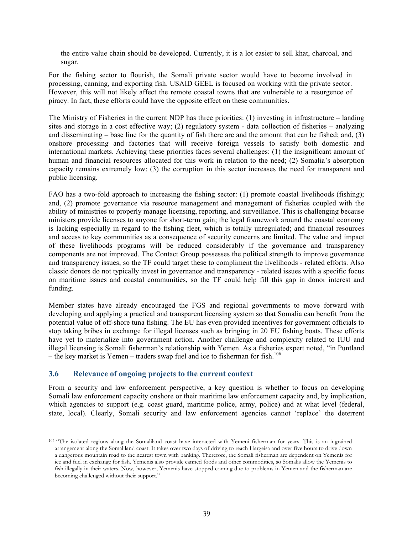the entire value chain should be developed. Currently, it is a lot easier to sell khat, charcoal, and sugar.

For the fishing sector to flourish, the Somali private sector would have to become involved in processing, canning, and exporting fish. USAID GEEL is focused on working with the private sector. However, this will not likely affect the remote coastal towns that are vulnerable to a resurgence of piracy. In fact, these efforts could have the opposite effect on these communities.

The Ministry of Fisheries in the current NDP has three priorities: (1) investing in infrastructure – landing sites and storage in a cost effective way; (2) regulatory system - data collection of fisheries – analyzing and disseminating – base line for the quantity of fish there are and the amount that can be fished; and, (3) onshore processing and factories that will receive foreign vessels to satisfy both domestic and international markets. Achieving these priorities faces several challenges: (1) the insignificant amount of human and financial resources allocated for this work in relation to the need; (2) Somalia's absorption capacity remains extremely low; (3) the corruption in this sector increases the need for transparent and public licensing.

FAO has a two-fold approach to increasing the fishing sector: (1) promote coastal livelihoods (fishing); and, (2) promote governance via resource management and management of fisheries coupled with the ability of ministries to properly manage licensing, reporting, and surveillance. This is challenging because ministers provide licenses to anyone for short-term gain; the legal framework around the coastal economy is lacking especially in regard to the fishing fleet, which is totally unregulated; and financial resources and access to key communities as a consequence of security concerns are limited. The value and impact of these livelihoods programs will be reduced considerably if the governance and transparency components are not improved. The Contact Group possesses the political strength to improve governance and transparency issues, so the TF could target these to compliment the livelihoods - related efforts. Also classic donors do not typically invest in governance and transparency - related issues with a specific focus on maritime issues and coastal communities, so the TF could help fill this gap in donor interest and funding.

Member states have already encouraged the FGS and regional governments to move forward with developing and applying a practical and transparent licensing system so that Somalia can benefit from the potential value of off-shore tuna fishing. The EU has even provided incentives for government officials to stop taking bribes in exchange for illegal licenses such as bringing in 20 EU fishing boats. These efforts have yet to materialize into government action. Another challenge and complexity related to IUU and illegal licensing is Somali fisherman's relationship with Yemen. As a fisheries expert noted, "in Puntland – the key market is Yemen – traders swap fuel and ice to fisherman for fish.<sup>106</sup>

#### **3.6 Relevance of ongoing projects to the current context**

 $\overline{a}$ 

From a security and law enforcement perspective, a key question is whether to focus on developing Somali law enforcement capacity onshore or their maritime law enforcement capacity and, by implication, which agencies to support (e.g. coast guard, maritime police, army, police) and at what level (federal, state, local). Clearly, Somali security and law enforcement agencies cannot 'replace' the deterrent

<sup>106</sup> "The isolated regions along the Somaliland coast have interacted with Yemeni fisherman for years. This is an ingrained arrangement along the Somaliland coast. It takes over two days of driving to reach Hargeisa and over five hours to drive down a dangerous mountain road to the nearest town with banking. Therefore, the Somali fisherman are dependent on Yemenis for ice and fuel in exchange for fish. Yemenis also provide canned foods and other commodities, so Somalis allow the Yemenis to fish illegally in their waters. Now, however, Yemenis have stopped coming due to problems in Yemen and the fisherman are becoming challenged without their support."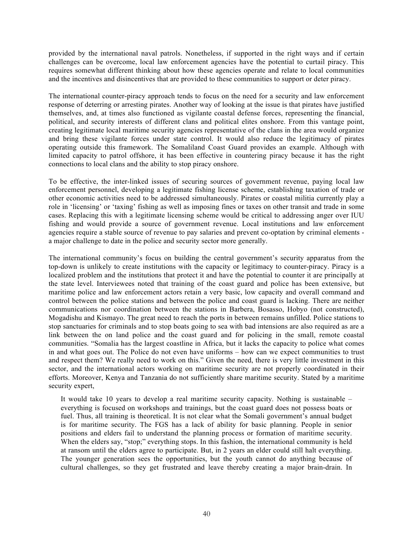provided by the international naval patrols. Nonetheless, if supported in the right ways and if certain challenges can be overcome, local law enforcement agencies have the potential to curtail piracy. This requires somewhat different thinking about how these agencies operate and relate to local communities and the incentives and disincentives that are provided to these communities to support or deter piracy.

The international counter-piracy approach tends to focus on the need for a security and law enforcement response of deterring or arresting pirates. Another way of looking at the issue is that pirates have justified themselves, and, at times also functioned as vigilante coastal defense forces, representing the financial, political, and security interests of different clans and political elites onshore. From this vantage point, creating legitimate local maritime security agencies representative of the clans in the area would organize and bring these vigilante forces under state control. It would also reduce the legitimacy of pirates operating outside this framework. The Somaliland Coast Guard provides an example. Although with limited capacity to patrol offshore, it has been effective in countering piracy because it has the right connections to local clans and the ability to stop piracy onshore.

To be effective, the inter-linked issues of securing sources of government revenue, paying local law enforcement personnel, developing a legitimate fishing license scheme, establishing taxation of trade or other economic activities need to be addressed simultaneously. Pirates or coastal militia currently play a role in 'licensing' or 'taxing' fishing as well as imposing fines or taxes on other transit and trade in some cases. Replacing this with a legitimate licensing scheme would be critical to addressing anger over IUU fishing and would provide a source of government revenue. Local institutions and law enforcement agencies require a stable source of revenue to pay salaries and prevent co-optation by criminal elements a major challenge to date in the police and security sector more generally.

The international community's focus on building the central government's security apparatus from the top-down is unlikely to create institutions with the capacity or legitimacy to counter-piracy. Piracy is a localized problem and the institutions that protect it and have the potential to counter it are principally at the state level. Interviewees noted that training of the coast guard and police has been extensive, but maritime police and law enforcement actors retain a very basic, low capacity and overall command and control between the police stations and between the police and coast guard is lacking. There are neither communications nor coordination between the stations in Barbera, Bosasso, Hobyo (not constructed), Mogadishu and Kismayo. The great need to reach the ports in between remains unfilled. Police stations to stop sanctuaries for criminals and to stop boats going to sea with bad intensions are also required as are a link between the on land police and the coast guard and for policing in the small, remote coastal communities. "Somalia has the largest coastline in Africa, but it lacks the capacity to police what comes in and what goes out. The Police do not even have uniforms – how can we expect communities to trust and respect them? We really need to work on this." Given the need, there is very little investment in this sector, and the international actors working on maritime security are not properly coordinated in their efforts. Moreover, Kenya and Tanzania do not sufficiently share maritime security. Stated by a maritime security expert,

It would take 10 years to develop a real maritime security capacity. Nothing is sustainable – everything is focused on workshops and trainings, but the coast guard does not possess boats or fuel. Thus, all training is theoretical. It is not clear what the Somali government's annual budget is for maritime security. The FGS has a lack of ability for basic planning. People in senior positions and elders fail to understand the planning process or formation of maritime security. When the elders say, "stop;" everything stops. In this fashion, the international community is held at ransom until the elders agree to participate. But, in 2 years an elder could still halt everything. The younger generation sees the opportunities, but the youth cannot do anything because of cultural challenges, so they get frustrated and leave thereby creating a major brain-drain. In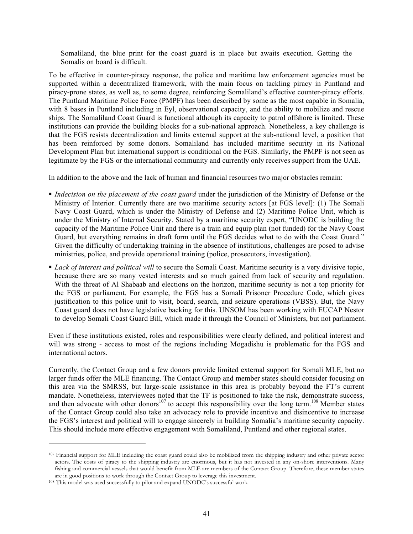Somaliland, the blue print for the coast guard is in place but awaits execution. Getting the Somalis on board is difficult.

To be effective in counter-piracy response, the police and maritime law enforcement agencies must be supported within a decentralized framework, with the main focus on tackling piracy in Puntland and piracy-prone states, as well as, to some degree, reinforcing Somaliland's effective counter-piracy efforts. The Puntland Maritime Police Force (PMPF) has been described by some as the most capable in Somalia, with 8 bases in Puntland including in Eyl, observational capacity, and the ability to mobilize and rescue ships. The Somaliland Coast Guard is functional although its capacity to patrol offshore is limited. These institutions can provide the building blocks for a sub-national approach. Nonetheless, a key challenge is that the FGS resists decentralization and limits external support at the sub-national level, a position that has been reinforced by some donors. Somaliland has included maritime security in its National Development Plan but international support is conditional on the FGS. Similarly, the PMPF is not seen as legitimate by the FGS or the international community and currently only receives support from the UAE.

In addition to the above and the lack of human and financial resources two major obstacles remain:

- § *Indecision on the placement of the coast guard* under the jurisdiction of the Ministry of Defense or the Ministry of Interior. Currently there are two maritime security actors [at FGS level]: (1) The Somali Navy Coast Guard, which is under the Ministry of Defense and (2) Maritime Police Unit, which is under the Ministry of Internal Security. Stated by a maritime security expert, "UNODC is building the capacity of the Maritime Police Unit and there is a train and equip plan (not funded) for the Navy Coast Guard, but everything remains in draft form until the FGS decides what to do with the Coast Guard." Given the difficulty of undertaking training in the absence of institutions, challenges are posed to advise ministries, police, and provide operational training (police, prosecutors, investigation).
- § *Lack of interest and political will* to secure the Somali Coast. Maritime security is a very divisive topic, because there are so many vested interests and so much gained from lack of security and regulation. With the threat of Al Shabaab and elections on the horizon, maritime security is not a top priority for the FGS or parliament. For example, the FGS has a Somali Prisoner Procedure Code, which gives justification to this police unit to visit, board, search, and seizure operations (VBSS). But, the Navy Coast guard does not have legislative backing for this. UNSOM has been working with EUCAP Nestor to develop Somali Coast Guard Bill, which made it through the Council of Ministers, but not parliament.

Even if these institutions existed, roles and responsibilities were clearly defined, and political interest and will was strong - access to most of the regions including Mogadishu is problematic for the FGS and international actors.

Currently, the Contact Group and a few donors provide limited external support for Somali MLE, but no larger funds offer the MLE financing. The Contact Group and member states should consider focusing on this area via the SMRSS, but large-scale assistance in this area is probably beyond the FT's current mandate. Nonetheless, interviewees noted that the TF is positioned to take the risk, demonstrate success, and then advocate with other donors<sup>107</sup> to accept this responsibility over the long term.<sup>108</sup> Member states of the Contact Group could also take an advocacy role to provide incentive and disincentive to increase the FGS's interest and political will to engage sincerely in building Somalia's maritime security capacity. This should include more effective engagement with Somaliland, Puntland and other regional states.

<sup>107</sup> Financial support for MLE including the coast guard could also be mobilized from the shipping industry and other private sector actors. The costs of piracy to the shipping industry are enormous, but it has not invested in any on-shore interventions. Many fishing and commercial vessels that would benefit from MLE are members of the Contact Group. Therefore, these member states

<sup>&</sup>lt;sup>108</sup> This model was used successfully to pilot and expand UNODC's successful work.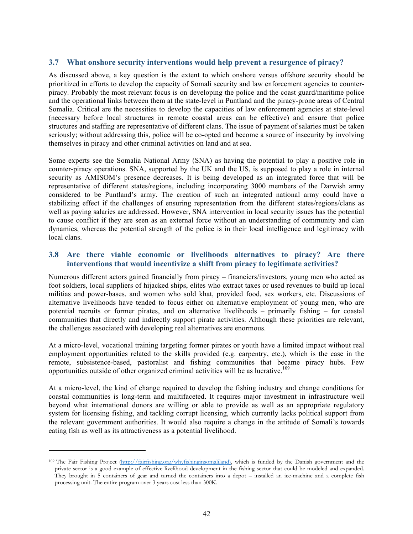### **3.7 What onshore security interventions would help prevent a resurgence of piracy?**

As discussed above, a key question is the extent to which onshore versus offshore security should be prioritized in efforts to develop the capacity of Somali security and law enforcement agencies to counterpiracy. Probably the most relevant focus is on developing the police and the coast guard/maritime police and the operational links between them at the state-level in Puntland and the piracy-prone areas of Central Somalia. Critical are the necessities to develop the capacities of law enforcement agencies at state-level (necessary before local structures in remote coastal areas can be effective) and ensure that police structures and staffing are representative of different clans. The issue of payment of salaries must be taken seriously; without addressing this, police will be co-opted and become a source of insecurity by involving themselves in piracy and other criminal activities on land and at sea.

Some experts see the Somalia National Army (SNA) as having the potential to play a positive role in counter-piracy operations. SNA, supported by the UK and the US, is supposed to play a role in internal security as AMISOM's presence decreases. It is being developed as an integrated force that will be representative of different states/regions, including incorporating 3000 members of the Darwish army considered to be Puntland's army. The creation of such an integrated national army could have a stabilizing effect if the challenges of ensuring representation from the different states/regions/clans as well as paying salaries are addressed. However, SNA intervention in local security issues has the potential to cause conflict if they are seen as an external force without an understanding of community and clan dynamics, whereas the potential strength of the police is in their local intelligence and legitimacy with local clans.

### **3.8 Are there viable economic or livelihoods alternatives to piracy? Are there interventions that would incentivize a shift from piracy to legitimate activities?**

Numerous different actors gained financially from piracy – financiers/investors, young men who acted as foot soldiers, local suppliers of hijacked ships, elites who extract taxes or used revenues to build up local militias and power-bases, and women who sold khat, provided food, sex workers, etc. Discussions of alternative livelihoods have tended to focus either on alternative employment of young men, who are potential recruits or former pirates, and on alternative livelihoods – primarily fishing – for coastal communities that directly and indirectly support pirate activities. Although these priorities are relevant, the challenges associated with developing real alternatives are enormous.

At a micro-level, vocational training targeting former pirates or youth have a limited impact without real employment opportunities related to the skills provided (e.g. carpentry, etc.), which is the case in the remote, subsistence-based, pastoralist and fishing communities that became piracy hubs. Few opportunities outside of other organized criminal activities will be as lucrative.<sup>109</sup>

At a micro-level, the kind of change required to develop the fishing industry and change conditions for coastal communities is long-term and multifaceted. It requires major investment in infrastructure well beyond what international donors are willing or able to provide as well as an appropriate regulatory system for licensing fishing, and tackling corrupt licensing, which currently lacks political support from the relevant government authorities. It would also require a change in the attitude of Somali's towards eating fish as well as its attractiveness as a potential livelihood.

<sup>109</sup> The Fair Fishing Project (http://fairfishing.org/whyfishinginsomaliland), which is funded by the Danish government and the private sector is a good example of effective livelihood development in the fishing sector that could be modeled and expanded. They brought in 5 containers of gear and turned the containers into a depot – installed an ice-machine and a complete fish processing unit. The entire program over 3 years cost less than 300K.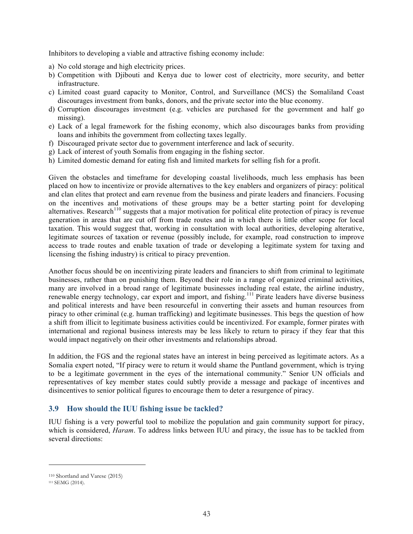Inhibitors to developing a viable and attractive fishing economy include:

- a) No cold storage and high electricity prices.
- b) Competition with Djibouti and Kenya due to lower cost of electricity, more security, and better infrastructure.
- c) Limited coast guard capacity to Monitor, Control, and Surveillance (MCS) the Somaliland Coast discourages investment from banks, donors, and the private sector into the blue economy.
- d) Corruption discourages investment (e.g. vehicles are purchased for the government and half go missing).
- e) Lack of a legal framework for the fishing economy, which also discourages banks from providing loans and inhibits the government from collecting taxes legally.
- f) Discouraged private sector due to government interference and lack of security.
- g) Lack of interest of youth Somalis from engaging in the fishing sector.
- h) Limited domestic demand for eating fish and limited markets for selling fish for a profit.

Given the obstacles and timeframe for developing coastal livelihoods, much less emphasis has been placed on how to incentivize or provide alternatives to the key enablers and organizers of piracy: political and clan elites that protect and earn revenue from the business and pirate leaders and financiers. Focusing on the incentives and motivations of these groups may be a better starting point for developing alternatives. Research<sup>110</sup> suggests that a major motivation for political elite protection of piracy is revenue generation in areas that are cut off from trade routes and in which there is little other scope for local taxation. This would suggest that, working in consultation with local authorities, developing alterative, legitimate sources of taxation or revenue (possibly include, for example, road construction to improve access to trade routes and enable taxation of trade or developing a legitimate system for taxing and licensing the fishing industry) is critical to piracy prevention.

Another focus should be on incentivizing pirate leaders and financiers to shift from criminal to legitimate businesses, rather than on punishing them. Beyond their role in a range of organized criminal activities, many are involved in a broad range of legitimate businesses including real estate, the airline industry, renewable energy technology, car export and import, and fishing.<sup>111</sup> Pirate leaders have diverse business and political interests and have been resourceful in converting their assets and human resources from piracy to other criminal (e.g. human trafficking) and legitimate businesses. This begs the question of how a shift from illicit to legitimate business activities could be incentivized. For example, former pirates with international and regional business interests may be less likely to return to piracy if they fear that this would impact negatively on their other investments and relationships abroad.

In addition, the FGS and the regional states have an interest in being perceived as legitimate actors. As a Somalia expert noted, "If piracy were to return it would shame the Puntland government, which is trying to be a legitimate government in the eyes of the international community." Senior UN officials and representatives of key member states could subtly provide a message and package of incentives and disincentives to senior political figures to encourage them to deter a resurgence of piracy.

#### **3.9 How should the IUU fishing issue be tackled?**

IUU fishing is a very powerful tool to mobilize the population and gain community support for piracy, which is considered, *Haram*. To address links between IUU and piracy, the issue has to be tackled from several directions:

<sup>110</sup> Shortland and Varese (2015)

<sup>111</sup> SEMG (2014).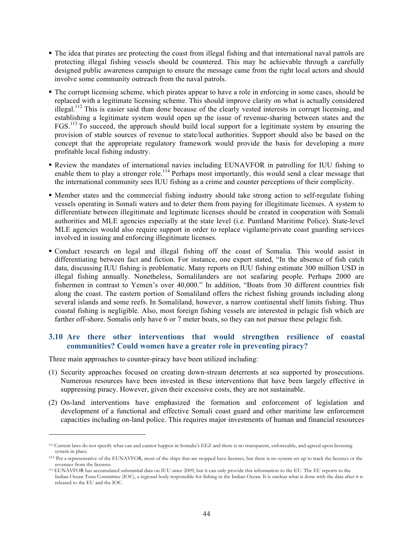- § The idea that pirates are protecting the coast from illegal fishing and that international naval patrols are protecting illegal fishing vessels should be countered. This may be achievable through a carefully designed public awareness campaign to ensure the message came from the right local actors and should involve some community outreach from the naval patrols.
- § The corrupt licensing scheme, which pirates appear to have a role in enforcing in some cases, should be replaced with a legitimate licensing scheme. This should improve clarity on what is actually considered illegal.<sup>112</sup> This is easier said than done because of the clearly vested interests in corrupt licensing, and establishing a legitimate system would open up the issue of revenue-sharing between states and the FGS.<sup>113</sup> To succeed, the approach should build local support for a legitimate system by ensuring the provision of stable sources of revenue to state/local authorities. Support should also be based on the concept that the appropriate regulatory framework would provide the basis for developing a more profitable local fishing industry.
- § Review the mandates of international navies including EUNAVFOR in patrolling for IUU fishing to enable them to play a stronger role.<sup>114</sup> Perhaps most importantly, this would send a clear message that the international community sees IUU fishing as a crime and counter perceptions of their complicity.
- § Member states and the commercial fishing industry should take strong action to self-regulate fishing vessels operating in Somali waters and to deter them from paying for illegitimate licenses. A system to differentiate between illegitimate and legitimate licenses should be created in cooperation with Somali authorities and MLE agencies especially at the state level (i.e. Puntland Maritime Police). State-level MLE agencies would also require support in order to replace vigilante/private coast guarding services involved in issuing and enforcing illegitimate licenses.
- Conduct research on legal and illegal fishing off the coast of Somalia. This would assist in differentiating between fact and fiction. For instance, one expert stated, "In the absence of fish catch data, discussing IUU fishing is problematic. Many reports on IUU fishing estimate 300 million USD in illegal fishing annually. Nonetheless, Somalilanders are not seafaring people. Perhaps 2000 are fishermen in contrast to Yemen's over 40,000." In addition, "Boats from 30 different countries fish along the coast. The eastern portion of Somaliland offers the richest fishing grounds including along several islands and some reefs. In Somaliland, however, a narrow continental shelf limits fishing. Thus coastal fishing is negligible. Also, most foreign fishing vessels are interested in pelagic fish which are farther off-shore. Somalis only have 6 or 7 meter boats, so they can not pursue these pelagic fish.

### **3.10 Are there other interventions that would strengthen resilience of coastal communities? Could women have a greater role in preventing piracy?**

Three main approaches to counter-piracy have been utilized including:

- (1) Security approaches focused on creating down-stream deterrents at sea supported by prosecutions. Numerous resources have been invested in these interventions that have been largely effective in suppressing piracy. However, given their excessive costs, they are not sustainable.
- (2) On-land interventions have emphasized the formation and enforcement of legislation and development of a functional and effective Somali coast guard and other maritime law enforcement capacities including on-land police. This requires major investments of human and financial resources

<sup>&</sup>lt;sup>112</sup> Current laws do not specify what can and cannot happen in Somalia's EEZ and there is no transparent, enforceable, and agreed upon licensing system in place.

<sup>113</sup> Per a representative of the EUNAVFOR, most of the ships that are stopped have licenses, but there is no system set up to track the licenses or the revenues from the licenses.

<sup>114</sup> EUNAVFOR has accumulated substantial data on IUU since 2009, but it can only provide this information to the EU. The EU reports to the Indian Ocean Tuna Committee (IOC), a regional body responsible for fishing in the Indian Ocean. It is unclear what is done with the data after it is released to the EU and the IOC.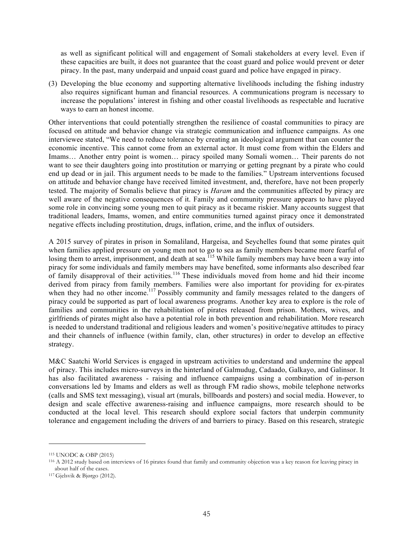as well as significant political will and engagement of Somali stakeholders at every level. Even if these capacities are built, it does not guarantee that the coast guard and police would prevent or deter piracy. In the past, many underpaid and unpaid coast guard and police have engaged in piracy.

(3) Developing the blue economy and supporting alternative livelihoods including the fishing industry also requires significant human and financial resources. A communications program is necessary to increase the populations' interest in fishing and other coastal livelihoods as respectable and lucrative ways to earn an honest income.

Other interventions that could potentially strengthen the resilience of coastal communities to piracy are focused on attitude and behavior change via strategic communication and influence campaigns. As one interviewee stated, "We need to reduce tolerance by creating an ideological argument that can counter the economic incentive. This cannot come from an external actor. It must come from within the Elders and Imams… Another entry point is women… piracy spoiled many Somali women… Their parents do not want to see their daughters going into prostitution or marrying or getting pregnant by a pirate who could end up dead or in jail. This argument needs to be made to the families." Upstream interventions focused on attitude and behavior change have received limited investment, and, therefore, have not been properly tested. The majority of Somalis believe that piracy is *Haram* and the communities affected by piracy are well aware of the negative consequences of it. Family and community pressure appears to have played some role in convincing some young men to quit piracy as it became riskier. Many accounts suggest that traditional leaders, Imams, women, and entire communities turned against piracy once it demonstrated negative effects including prostitution, drugs, inflation, crime, and the influx of outsiders.

A 2015 survey of pirates in prison in Somaliland, Hargeisa, and Seychelles found that some pirates quit when families applied pressure on young men not to go to sea as family members became more fearful of losing them to arrest, imprisonment, and death at sea.<sup>115</sup> While family members may have been a way into piracy for some individuals and family members may have benefited, some informants also described fear of family disapproval of their activities.<sup>116</sup> These individuals moved from home and hid their income derived from piracy from family members. Families were also important for providing for ex-pirates when they had no other income.<sup>117</sup> Possibly community and family messages related to the dangers of piracy could be supported as part of local awareness programs. Another key area to explore is the role of families and communities in the rehabilitation of pirates released from prison. Mothers, wives, and girlfriends of pirates might also have a potential role in both prevention and rehabilitation. More research is needed to understand traditional and religious leaders and women's positive/negative attitudes to piracy and their channels of influence (within family, clan, other structures) in order to develop an effective strategy.

M&C Saatchi World Services is engaged in upstream activities to understand and undermine the appeal of piracy. This includes micro-surveys in the hinterland of Galmudug, Cadaado, Galkayo, and Galinsor. It has also facilitated awareness - raising and influence campaigns using a combination of in-person conversations led by Imams and elders as well as through FM radio shows, mobile telephone networks (calls and SMS text messaging), visual art (murals, billboards and posters) and social media. However, to design and scale effective awareness-raising and influence campaigns, more research should to be conducted at the local level. This research should explore social factors that underpin community tolerance and engagement including the drivers of and barriers to piracy. Based on this research, strategic

<sup>115</sup> UNODC & OBP (2015)

<sup>116</sup> A 2012 study based on interviews of 16 pirates found that family and community objection was a key reason for leaving piracy in about half of the cases.

<sup>117</sup> Gjelsvik & Bjørgo (2012).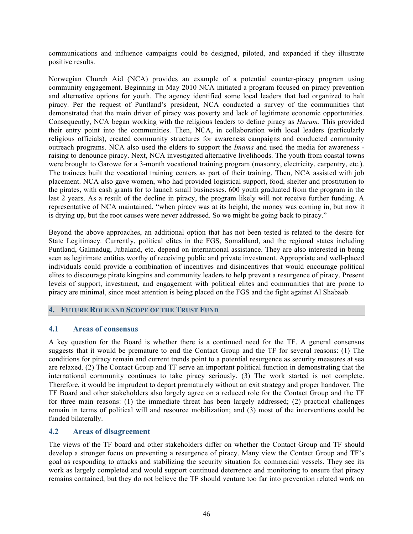communications and influence campaigns could be designed, piloted, and expanded if they illustrate positive results.

Norwegian Church Aid (NCA) provides an example of a potential counter-piracy program using community engagement. Beginning in May 2010 NCA initiated a program focused on piracy prevention and alternative options for youth. The agency identified some local leaders that had organized to halt piracy. Per the request of Puntland's president, NCA conducted a survey of the communities that demonstrated that the main driver of piracy was poverty and lack of legitimate economic opportunities. Consequently, NCA began working with the religious leaders to define piracy as *Haram*. This provided their entry point into the communities. Then, NCA, in collaboration with local leaders (particularly religious officials), created community structures for awareness campaigns and conducted community outreach programs. NCA also used the elders to support the *Imams* and used the media for awareness raising to denounce piracy. Next, NCA investigated alternative livelihoods. The youth from coastal towns were brought to Garowe for a 3-month vocational training program (masonry, electricity, carpentry, etc.). The trainees built the vocational training centers as part of their training. Then, NCA assisted with job placement. NCA also gave women, who had provided logistical support, food, shelter and prostitution to the pirates, with cash grants for to launch small businesses. 600 youth graduated from the program in the last 2 years. As a result of the decline in piracy, the program likely will not receive further funding. A representative of NCA maintained, "when piracy was at its height, the money was coming in, but now it is drying up, but the root causes were never addressed. So we might be going back to piracy."

Beyond the above approaches, an additional option that has not been tested is related to the desire for State Legitimacy*.* Currently, political elites in the FGS, Somaliland, and the regional states including Puntland, Galmadug, Jubaland, etc. depend on international assistance. They are also interested in being seen as legitimate entities worthy of receiving public and private investment. Appropriate and well-placed individuals could provide a combination of incentives and disincentives that would encourage political elites to discourage pirate kingpins and community leaders to help prevent a resurgence of piracy. Present levels of support, investment, and engagement with political elites and communities that are prone to piracy are minimal, since most attention is being placed on the FGS and the fight against Al Shabaab.

### **4. FUTURE ROLE AND SCOPE OF THE TRUST FUND**

#### **4.1 Areas of consensus**

A key question for the Board is whether there is a continued need for the TF. A general consensus suggests that it would be premature to end the Contact Group and the TF for several reasons: (1) The conditions for piracy remain and current trends point to a potential resurgence as security measures at sea are relaxed. (2) The Contact Group and TF serve an important political function in demonstrating that the international community continues to take piracy seriously. (3) The work started is not complete. Therefore, it would be imprudent to depart prematurely without an exit strategy and proper handover. The TF Board and other stakeholders also largely agree on a reduced role for the Contact Group and the TF for three main reasons: (1) the immediate threat has been largely addressed; (2) practical challenges remain in terms of political will and resource mobilization; and (3) most of the interventions could be funded bilaterally.

### **4.2 Areas of disagreement**

The views of the TF board and other stakeholders differ on whether the Contact Group and TF should develop a stronger focus on preventing a resurgence of piracy. Many view the Contact Group and TF's goal as responding to attacks and stabilizing the security situation for commercial vessels. They see its work as largely completed and would support continued deterrence and monitoring to ensure that piracy remains contained, but they do not believe the TF should venture too far into prevention related work on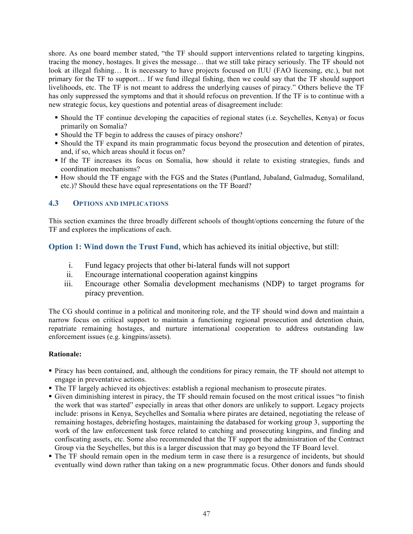shore. As one board member stated, "the TF should support interventions related to targeting kingpins, tracing the money, hostages. It gives the message… that we still take piracy seriously. The TF should not look at illegal fishing… It is necessary to have projects focused on IUU (FAO licensing, etc.), but not primary for the TF to support… If we fund illegal fishing, then we could say that the TF should support livelihoods, etc. The TF is not meant to address the underlying causes of piracy." Others believe the TF has only suppressed the symptoms and that it should refocus on prevention. If the TF is to continue with a new strategic focus, key questions and potential areas of disagreement include:

- § Should the TF continue developing the capacities of regional states (i.e. Seychelles, Kenya) or focus primarily on Somalia?
- Should the TF begin to address the causes of piracy onshore?
- § Should the TF expand its main programmatic focus beyond the prosecution and detention of pirates, and, if so, which areas should it focus on?
- § If the TF increases its focus on Somalia, how should it relate to existing strategies, funds and coordination mechanisms?
- § How should the TF engage with the FGS and the States (Puntland, Jubaland, Galmadug, Somaliland, etc.)? Should these have equal representations on the TF Board?

### **4.3 OPTIONS AND IMPLICATIONS**

This section examines the three broadly different schools of thought/options concerning the future of the TF and explores the implications of each.

**Option 1: Wind down the Trust Fund**, which has achieved its initial objective, but still:

- i. Fund legacy projects that other bi-lateral funds will not support
- ii. Encourage international cooperation against kingpins
- iii. Encourage other Somalia development mechanisms (NDP) to target programs for piracy prevention.

The CG should continue in a political and monitoring role, and the TF should wind down and maintain a narrow focus on critical support to maintain a functioning regional prosecution and detention chain, repatriate remaining hostages, and nurture international cooperation to address outstanding law enforcement issues (e.g. kingpins/assets).

#### **Rationale:**

- § Piracy has been contained, and, although the conditions for piracy remain, the TF should not attempt to engage in preventative actions.
- § The TF largely achieved its objectives: establish a regional mechanism to prosecute pirates.
- § Given diminishing interest in piracy, the TF should remain focused on the most critical issues "to finish the work that was started" especially in areas that other donors are unlikely to support. Legacy projects include: prisons in Kenya, Seychelles and Somalia where pirates are detained, negotiating the release of remaining hostages, debriefing hostages, maintaining the databased for working group 3, supporting the work of the law enforcement task force related to catching and prosecuting kingpins, and finding and confiscating assets, etc. Some also recommended that the TF support the administration of the Contract Group via the Seychelles, but this is a larger discussion that may go beyond the TF Board level.
- The TF should remain open in the medium term in case there is a resurgence of incidents, but should eventually wind down rather than taking on a new programmatic focus. Other donors and funds should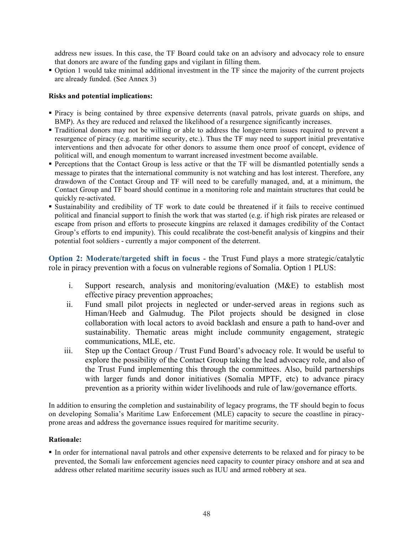address new issues. In this case, the TF Board could take on an advisory and advocacy role to ensure that donors are aware of the funding gaps and vigilant in filling them.

§ Option 1 would take minimal additional investment in the TF since the majority of the current projects are already funded. (See Annex 3)

#### **Risks and potential implications:**

- § Piracy is being contained by three expensive deterrents (naval patrols, private guards on ships, and BMP). As they are reduced and relaxed the likelihood of a resurgence significantly increases.
- § Traditional donors may not be willing or able to address the longer-term issues required to prevent a resurgence of piracy (e.g. maritime security, etc.). Thus the TF may need to support initial preventative interventions and then advocate for other donors to assume them once proof of concept, evidence of political will, and enough momentum to warrant increased investment become available.
- § Perceptions that the Contact Group is less active or that the TF will be dismantled potentially sends a message to pirates that the international community is not watching and has lost interest. Therefore, any drawdown of the Contact Group and TF will need to be carefully managed, and, at a minimum, the Contact Group and TF board should continue in a monitoring role and maintain structures that could be quickly re-activated.
- § Sustainability and credibility of TF work to date could be threatened if it fails to receive continued political and financial support to finish the work that was started (e.g. if high risk pirates are released or escape from prison and efforts to prosecute kingpins are relaxed it damages credibility of the Contact Group's efforts to end impunity). This could recalibrate the cost-benefit analysis of kingpins and their potential foot soldiers - currently a major component of the deterrent.

**Option 2: Moderate/targeted shift in focus - the Trust Fund plays a more strategic/catalytic** role in piracy prevention with a focus on vulnerable regions of Somalia. Option 1 PLUS:

- i. Support research, analysis and monitoring/evaluation (M&E) to establish most effective piracy prevention approaches;
- ii. Fund small pilot projects in neglected or under-served areas in regions such as Himan/Heeb and Galmudug. The Pilot projects should be designed in close collaboration with local actors to avoid backlash and ensure a path to hand-over and sustainability. Thematic areas might include community engagement, strategic communications, MLE, etc.
- iii. Step up the Contact Group / Trust Fund Board's advocacy role. It would be useful to explore the possibility of the Contact Group taking the lead advocacy role, and also of the Trust Fund implementing this through the committees. Also, build partnerships with larger funds and donor initiatives (Somalia MPTF, etc) to advance piracy prevention as a priority within wider livelihoods and rule of law/governance efforts.

In addition to ensuring the completion and sustainability of legacy programs, the TF should begin to focus on developing Somalia's Maritime Law Enforcement (MLE) capacity to secure the coastline in piracyprone areas and address the governance issues required for maritime security.

#### **Rationale:**

§ In order for international naval patrols and other expensive deterrents to be relaxed and for piracy to be prevented, the Somali law enforcement agencies need capacity to counter piracy onshore and at sea and address other related maritime security issues such as IUU and armed robbery at sea.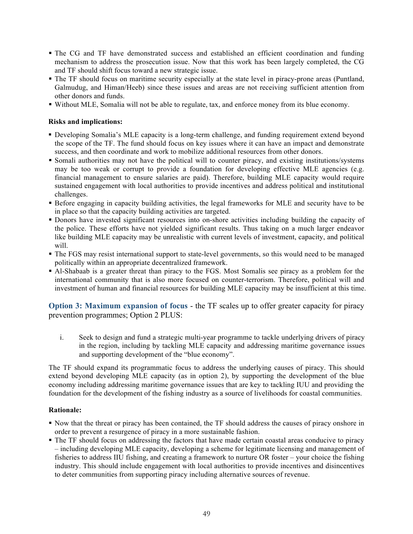- The CG and TF have demonstrated success and established an efficient coordination and funding mechanism to address the prosecution issue. Now that this work has been largely completed, the CG and TF should shift focus toward a new strategic issue.
- § The TF should focus on maritime security especially at the state level in piracy-prone areas (Puntland, Galmudug, and Himan/Heeb) since these issues and areas are not receiving sufficient attention from other donors and funds.
- § Without MLE, Somalia will not be able to regulate, tax, and enforce money from its blue economy.

### **Risks and implications:**

- § Developing Somalia's MLE capacity is a long-term challenge, and funding requirement extend beyond the scope of the TF. The fund should focus on key issues where it can have an impact and demonstrate success, and then coordinate and work to mobilize additional resources from other donors.
- Somali authorities may not have the political will to counter piracy, and existing institutions/systems may be too weak or corrupt to provide a foundation for developing effective MLE agencies (e.g. financial management to ensure salaries are paid). Therefore, building MLE capacity would require sustained engagement with local authorities to provide incentives and address political and institutional challenges.
- § Before engaging in capacity building activities, the legal frameworks for MLE and security have to be in place so that the capacity building activities are targeted.
- § Donors have invested significant resources into on-shore activities including building the capacity of the police. These efforts have not yielded significant results. Thus taking on a much larger endeavor like building MLE capacity may be unrealistic with current levels of investment, capacity, and political will.
- § The FGS may resist international support to state-level governments, so this would need to be managed politically within an appropriate decentralized framework.
- § Al-Shabaab is a greater threat than piracy to the FGS. Most Somalis see piracy as a problem for the international community that is also more focused on counter-terrorism. Therefore, political will and investment of human and financial resources for building MLE capacity may be insufficient at this time.

**Option 3: Maximum expansion of focus** - the TF scales up to offer greater capacity for piracy prevention programmes; Option 2 PLUS:

i. Seek to design and fund a strategic multi-year programme to tackle underlying drivers of piracy in the region, including by tackling MLE capacity and addressing maritime governance issues and supporting development of the "blue economy".

The TF should expand its programmatic focus to address the underlying causes of piracy. This should extend beyond developing MLE capacity (as in option 2), by supporting the development of the blue economy including addressing maritime governance issues that are key to tackling IUU and providing the foundation for the development of the fishing industry as a source of livelihoods for coastal communities.

#### **Rationale:**

- § Now that the threat or piracy has been contained, the TF should address the causes of piracy onshore in order to prevent a resurgence of piracy in a more sustainable fashion.
- The TF should focus on addressing the factors that have made certain coastal areas conducive to piracy – including developing MLE capacity, developing a scheme for legitimate licensing and management of fisheries to address IIU fishing, and creating a framework to nurture OR foster – your choice the fishing industry. This should include engagement with local authorities to provide incentives and disincentives to deter communities from supporting piracy including alternative sources of revenue.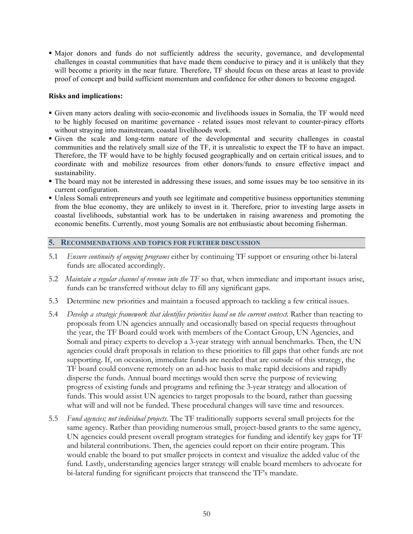• Major donors and funds do not sufficiently address the security, governance, and developmental challenges in coastal communities that have made them conducive to piracy and it is unlikely that they will become a priority in the near future. Therefore, TF should focus on these areas at least to provide proof of concept and build sufficient momentum and confidence for other donors to become engaged.

#### **Risks and implications:**

- § Given many actors dealing with socio-economic and livelihoods issues in Somalia, the TF would need to be highly focused on maritime governance - related issues most relevant to counter-piracy efforts without straying into mainstream, coastal livelihoods work.
- § Given the scale and long-term nature of the developmental and security challenges in coastal communities and the relatively small size of the TF, it is unrealistic to expect the TF to have an impact. Therefore, the TF would have to be highly focused geographically and on certain critical issues, and to coordinate with and mobilize resources from other donors/funds to ensure effective impact and sustainability.
- The board may not be interested in addressing these issues, and some issues may be too sensitive in its current configuration.
- § Unless Somali entrepreneurs and youth see legitimate and competitive business opportunities stemming from the blue economy, they are unlikely to invest in it. Therefore, prior to investing large assets in coastal livelihoods, substantial work has to be undertaken in raising awareness and promoting the economic benefits. Currently, most young Somalis are not enthusiastic about becoming fisherman.

#### **5. RECOMMENDATIONS AND TOPICS FOR FURTHER DISCUSSION**

- 5.1 *Ensure continuity of ongoing programs* either by continuing TF support or ensuring other bi-lateral funds are allocated accordingly.
- 5.2 *Maintain a regular channel of revenue into the TF* so that, when immediate and important issues arise, funds can be transferred without delay to fill any significant gaps.
- 5.3 Determine new priorities and maintain a focused approach to tackling a few critical issues.
- 5.4 *Develop a strategic framework that identifies priorities based on the current context.* Rather than reacting to proposals from UN agencies annually and occasionally based on special requests throughout the year, the TF Board could work with members of the Contact Group, UN Agencies, and Somali and piracy experts to develop a 3-year strategy with annual benchmarks. Then, the UN agencies could draft proposals in relation to these priorities to fill gaps that other funds are not supporting. If, on occasion, immediate funds are needed that are outside of this strategy, the TF board could convene remotely on an ad-hoc basis to make rapid decisions and rapidly disperse the funds. Annual board meetings would then serve the purpose of reviewing progress of existing funds and programs and refining the 3-year strategy and allocation of funds. This would assist UN agencies to target proposals to the board, rather than guessing what will and will not be funded. These procedural changes will save time and resources.
- 5.5 *Fund agencies; not individual projects.* The TF traditionally supports several small projects for the same agency. Rather than providing numerous small, project-based grants to the same agency, UN agencies could present overall program strategies for funding and identify key gaps for TF and bilateral contributions. Then, the agencies could report on their entire program. This would enable the board to put smaller projects in context and visualize the added value of the fund. Lastly, understanding agencies larger strategy will enable board members to advocate for bi-lateral funding for significant projects that transcend the TF's mandate.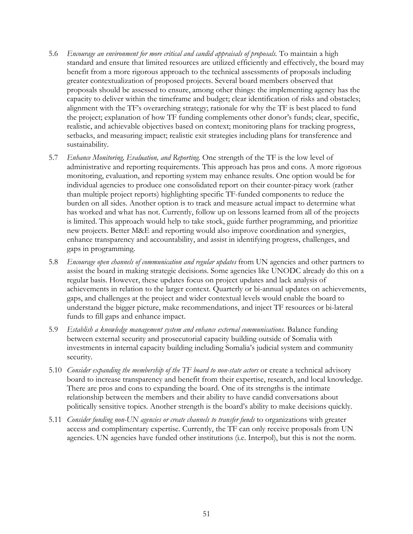- 5.6 *Encourage an environment for more critical and candid appraisals of proposals.* To maintain a high standard and ensure that limited resources are utilized efficiently and effectively, the board may benefit from a more rigorous approach to the technical assessments of proposals including greater contextualization of proposed projects. Several board members observed that proposals should be assessed to ensure, among other things: the implementing agency has the capacity to deliver within the timeframe and budget; clear identification of risks and obstacles; alignment with the TF's overarching strategy; rationale for why the TF is best placed to fund the project; explanation of how TF funding complements other donor's funds; clear, specific, realistic, and achievable objectives based on context; monitoring plans for tracking progress, setbacks, and measuring impact; realistic exit strategies including plans for transference and sustainability.
- 5.7 *Enhance Monitoring, Evaluation, and Reporting.* One strength of the TF is the low level of administrative and reporting requirements. This approach has pros and cons. A more rigorous monitoring, evaluation, and reporting system may enhance results. One option would be for individual agencies to produce one consolidated report on their counter-piracy work (rather than multiple project reports) highlighting specific TF-funded components to reduce the burden on all sides. Another option is to track and measure actual impact to determine what has worked and what has not. Currently, follow up on lessons learned from all of the projects is limited. This approach would help to take stock, guide further programming, and prioritize new projects. Better M&E and reporting would also improve coordination and synergies, enhance transparency and accountability, and assist in identifying progress, challenges, and gaps in programming.
- 5.8 *Encourage open channels of communication and regular updates* from UN agencies and other partners to assist the board in making strategic decisions. Some agencies like UNODC already do this on a regular basis. However, these updates focus on project updates and lack analysis of achievements in relation to the larger context. Quarterly or bi-annual updates on achievements, gaps, and challenges at the project and wider contextual levels would enable the board to understand the bigger picture, make recommendations, and inject TF resources or bi-lateral funds to fill gaps and enhance impact.
- 5.9 *Establish a knowledge management system and enhance external communications.* Balance funding between external security and prosecutorial capacity building outside of Somalia with investments in internal capacity building including Somalia's judicial system and community security.
- 5.10 *Consider expanding the membership of the TF board to non-state actors* or create a technical advisory board to increase transparency and benefit from their expertise, research, and local knowledge. There are pros and cons to expanding the board. One of its strengths is the intimate relationship between the members and their ability to have candid conversations about politically sensitive topics. Another strength is the board's ability to make decisions quickly.
- 5.11 *Consider funding non-UN agencies or create channels to transfer funds* to organizations with greater access and complimentary expertise. Currently, the TF can only receive proposals from UN agencies. UN agencies have funded other institutions (i.e. Interpol), but this is not the norm.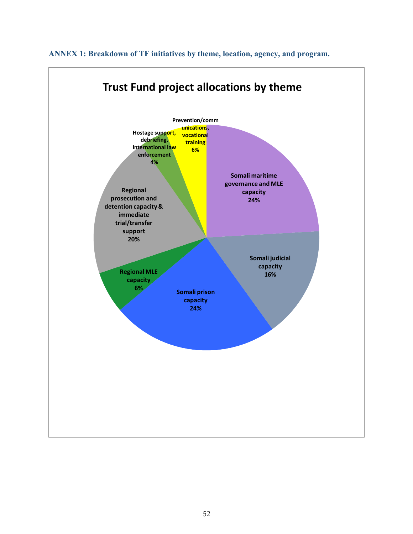

**ANNEX 1: Breakdown of TF initiatives by theme, location, agency, and program.**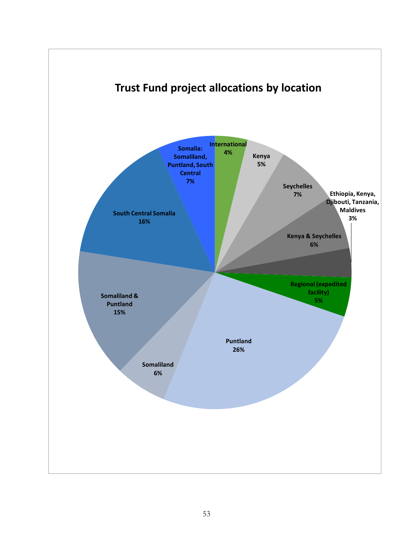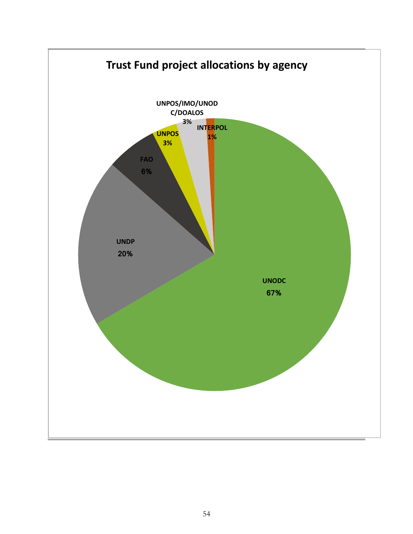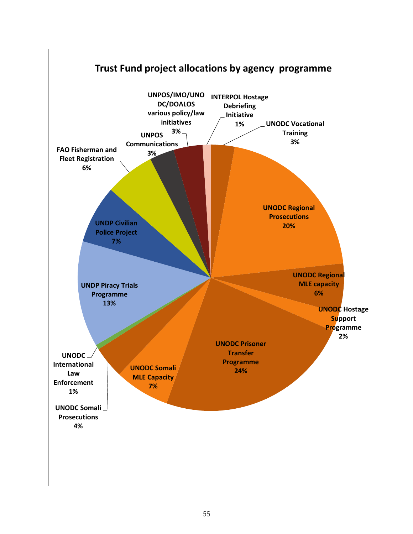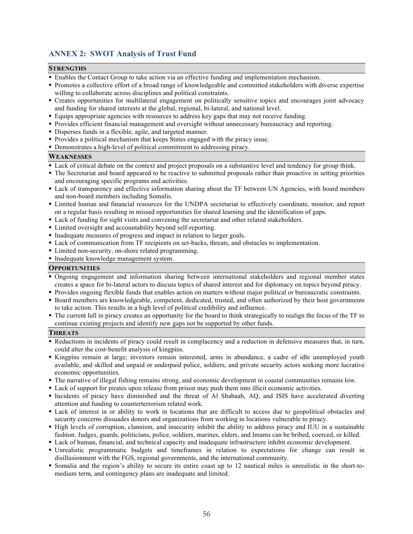# **ANNEX 2: SWOT Analysis of Trust Fund**

#### **STRENGTHS**

- § Enables the Contact Group to take action via an effective funding and implementation mechanism.
- § Promotes a collective effort of a broad range of knowledgeable and committed stakeholders with diverse expertise willing to collaborate across disciplines and political constraints.
- Creates opportunities for multilateral engagement on politically sensitive topics and encourages joint advocacy and funding for shared interests at the global, regional, bi-lateral, and national level.
- § Equips appropriate agencies with resources to address key gaps that may not receive funding.
- § Provides efficient financial management and oversight without unnecessary bureaucracy and reporting.
- Disperses funds in a flexible, agile, and targeted manner.
- § Provides a political mechanism that keeps States engaged with the piracy issue.
- Demonstrates a high-level of political commitment to addressing piracy.

#### **WEAKNESSES**

- § Lack of critical debate on the context and project proposals on a substantive level and tendency for group think.
- § The Secretariat and board appeared to be reactive to submitted proposals rather than proactive in setting priorities and encouraging specific programs and activities.
- § Lack of transparency and effective information sharing about the TF between UN Agencies, with board members and non-board members including Somalis.
- § Limited human and financial resources for the UNDPA secretariat to effectively coordinate, monitor, and report on a regular basis resulting in missed opportunities for shared learning and the identification of gaps.
- § Lack of funding for sight visits and convening the secretariat and other related stakeholders.
- Limited oversight and accountability beyond self-reporting.
- Inadequate measures of progress and impact in relation to larger goals.
- § Lack of communication from TF recipients on set-backs, threats, and obstacles to implementation.
- Limited non-security, on-shore related programming.
- § Inadequate knowledge management system.

#### **OPPORTUNITIES**

- § Ongoing engagement and information sharing between international stakeholders and regional member states creates a space for bi-lateral actors to discuss topics of shared interest and for diplomacy on topics beyond piracy.
- § Provides ongoing flexible funds that enables action on matters without major political or bureaucratic constraints.
- § Board members are knowledgeable, competent, dedicated, trusted, and often authorized by their host governments to take action. This results in a high level of political credibility and influence.
- § The current lull in piracy creates an opportunity for the board to think strategically to realign the focus of the TF to continue existing projects and identify new gaps not be supported by other funds.

#### **THREATS**

- § Reductions in incidents of piracy could result in complacency and a reduction in defensive measures that, in turn, could alter the cost-benefit analysis of kingpins.
- § Kingpins remain at large; investors remain interested, arms in abundance, a cadre of idle unemployed youth available, and skilled and unpaid or underpaid police, soldiers, and private security actors seeking more lucrative economic opportunities.
- § The narrative of illegal fishing remains strong, and economic development in coastal communities remains low.
- Lack of support for pirates upon release from prison may push them into illicit economic activities.
- § Incidents of piracy have diminished and the threat of Al Shabaab, AQ, and ISIS have accelerated diverting attention and funding to counterterrorism related work.
- § Lack of interest in or ability to work in locations that are difficult to access due to geopolitical obstacles and security concerns dissuades donors and organizations from working in locations vulnerable to piracy.
- § High levels of corruption, clannism, and insecurity inhibit the ability to address piracy and IUU in a sustainable fashion. Judges, guards, politicians, police, soldiers, marines, elders, and Imams can be bribed, coerced, or killed.
- § Lack of human, financial, and technical capacity and inadequate infrastructure inhibit economic development.
- § Unrealistic programmatic budgets and timeframes in relation to expectations for change can result in disillusionment with the FGS, regional governments, and the international community.
- § Somalia and the region's ability to secure its entire coast up to 12 nautical miles is unrealistic in the short-tomedium term, and contingency plans are inadequate and limited.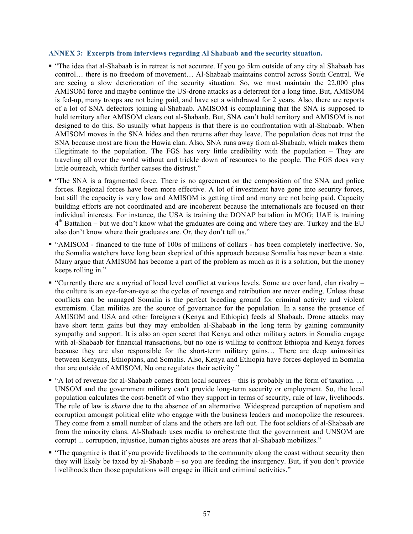#### **ANNEX 3: Excerpts from interviews regarding Al Shabaab and the security situation.**

- § "The idea that al-Shabaab is in retreat is not accurate. If you go 5km outside of any city al Shabaab has control… there is no freedom of movement… Al-Shabaab maintains control across South Central. We are seeing a slow deterioration of the security situation. So, we must maintain the 22,000 plus AMISOM force and maybe continue the US-drone attacks as a deterrent for a long time. But, AMISOM is fed-up, many troops are not being paid, and have set a withdrawal for 2 years. Also, there are reports of a lot of SNA defectors joining al-Shabaab. AMISOM is complaining that the SNA is supposed to hold territory after AMISOM clears out al-Shabaab. But, SNA can't hold territory and AMISOM is not designed to do this. So usually what happens is that there is no confrontation with al-Shabaab. When AMISOM moves in the SNA hides and then returns after they leave. The population does not trust the SNA because most are from the Hawia clan. Also, SNA runs away from al-Shabaab, which makes them illegitimate to the population. The FGS has very little credibility with the population – They are traveling all over the world without and trickle down of resources to the people. The FGS does very little outreach, which further causes the distrust."
- "The SNA is a fragmented force. There is no agreement on the composition of the SNA and police forces. Regional forces have been more effective. A lot of investment have gone into security forces, but still the capacity is very low and AMISOM is getting tired and many are not being paid. Capacity building efforts are not coordinated and are incoherent because the internationals are focused on their individual interests. For instance, the USA is training the DONAP battalion in MOG; UAE is training  $4<sup>th</sup>$  Battalion – but we don't know what the graduates are doing and where they are. Turkey and the EU also don't know where their graduates are. Or, they don't tell us."
- § "AMISOM financed to the tune of 100s of millions of dollars has been completely ineffective. So, the Somalia watchers have long been skeptical of this approach because Somalia has never been a state. Many argue that AMISOM has become a part of the problem as much as it is a solution, but the money keeps rolling in."
- § "Currently there are a myriad of local level conflict at various levels. Some are over land, clan rivalry the culture is an eye-for-an-eye so the cycles of revenge and retribution are never ending. Unless these conflicts can be managed Somalia is the perfect breeding ground for criminal activity and violent extremism. Clan militias are the source of governance for the population. In a sense the presence of AMISOM and USA and other foreigners (Kenya and Ethiopia) feeds al Shabaab. Drone attacks may have short term gains but they may embolden al-Shabaab in the long term by gaining community sympathy and support. It is also an open secret that Kenya and other military actors in Somalia engage with al-Shabaab for financial transactions, but no one is willing to confront Ethiopia and Kenya forces because they are also responsible for the short-term military gains… There are deep animosities between Kenyans, Ethiopians, and Somalis. Also, Kenya and Ethiopia have forces deployed in Somalia that are outside of AMISOM. No one regulates their activity."
- "A lot of revenue for al-Shabaab comes from local sources this is probably in the form of taxation. ... UNSOM and the government military can't provide long-term security or employment. So, the local population calculates the cost-benefit of who they support in terms of security, rule of law, livelihoods. The rule of law is *sharia* due to the absence of an alternative. Widespread perception of nepotism and corruption amongst political elite who engage with the business leaders and monopolize the resources. They come from a small number of clans and the others are left out. The foot soldiers of al-Shabaab are from the minority clans. Al-Shabaab uses media to orchestrate that the government and UNSOM are corrupt ... corruption, injustice, human rights abuses are areas that al-Shabaab mobilizes."
- "The quagmire is that if you provide livelihoods to the community along the coast without security then they will likely be taxed by al-Shabaab – so you are feeding the insurgency. But, if you don't provide livelihoods then those populations will engage in illicit and criminal activities."